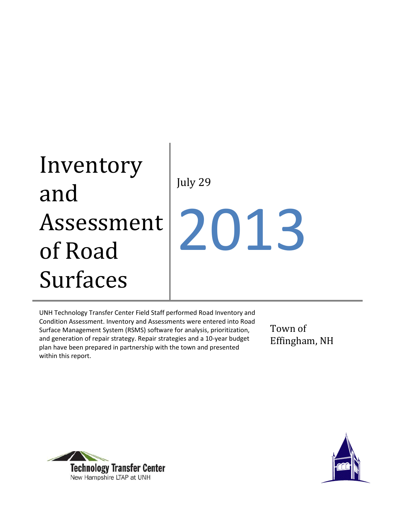# Inventory and Assessment of Road Surfaces July 29 2013

UNH Technology Transfer Center Field Staff performed Road Inventory and Condition Assessment. Inventory and Assessments were entered into Road Surface Management System (RSMS) software for analysis, prioritization, and generation of repair strategy. Repair strategies and a 10-year budget plan have been prepared in partnership with the town and presented within this report.

Town of Effingham, NH



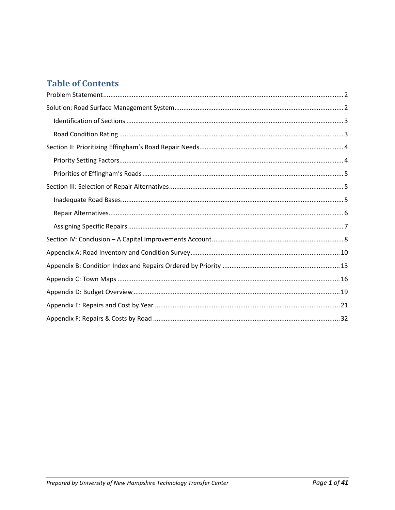## **Table of Contents**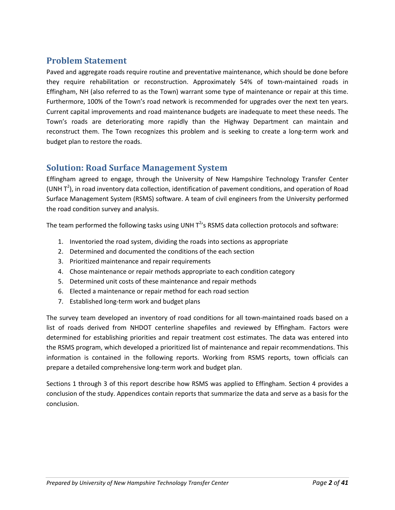## **Problem Statement**

Paved and aggregate roads require routine and preventative maintenance, which should be done before they require rehabilitation or reconstruction. Approximately 54% of town-maintained roads in Effingham, NH (also referred to as the Town) warrant some type of maintenance or repair at this time. Furthermore, 100% of the Town's road network is recommended for upgrades over the next ten years. Current capital improvements and road maintenance budgets are inadequate to meet these needs. The Town's roads are deteriorating more rapidly than the Highway Department can maintain and reconstruct them. The Town recognizes this problem and is seeking to create a long-term work and budget plan to restore the roads.

#### **Solution: Road Surface Management System**

Effingham agreed to engage, through the University of New Hampshire Technology Transfer Center (UNH  $T^2$ ), in road inventory data collection, identification of pavement conditions, and operation of Road Surface Management System (RSMS) software. A team of civil engineers from the University performed the road condition survey and analysis.

The team performed the following tasks using UNH  $T^{2}$ 's RSMS data collection protocols and software:

- 1. Inventoried the road system, dividing the roads into sections as appropriate
- 2. Determined and documented the conditions of the each section
- 3. Prioritized maintenance and repair requirements
- 4. Chose maintenance or repair methods appropriate to each condition category
- 5. Determined unit costs of these maintenance and repair methods
- 6. Elected a maintenance or repair method for each road section
- 7. Established long-term work and budget plans

The survey team developed an inventory of road conditions for all town-maintained roads based on a list of roads derived from NHDOT centerline shapefiles and reviewed by Effingham. Factors were determined for establishing priorities and repair treatment cost estimates. The data was entered into the RSMS program, which developed a prioritized list of maintenance and repair recommendations. This information is contained in the following reports. Working from RSMS reports, town officials can prepare a detailed comprehensive long-term work and budget plan.

Sections 1 through 3 of this report describe how RSMS was applied to Effingham. Section 4 provides a conclusion of the study. Appendices contain reports that summarize the data and serve as a basis for the conclusion.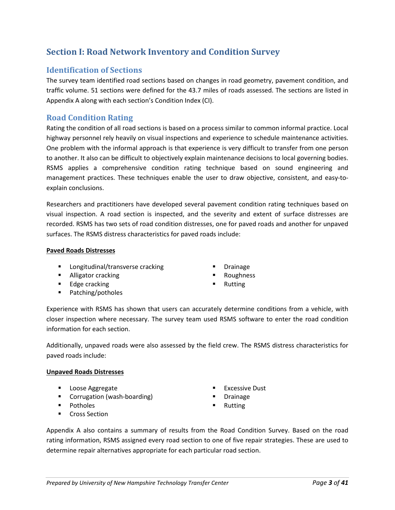## **Section I: Road Network Inventory and Condition Survey**

#### **Identification of Sections**

The survey team identified road sections based on changes in road geometry, pavement condition, and traffic volume. 51 sections were defined for the 43.7 miles of roads assessed. The sections are listed in Appendix A along with each section's Condition Index (CI).

#### **Road Condition Rating**

Rating the condition of all road sections is based on a process similar to common informal practice. Local highway personnel rely heavily on visual inspections and experience to schedule maintenance activities. One problem with the informal approach is that experience is very difficult to transfer from one person to another. It also can be difficult to objectively explain maintenance decisions to local governing bodies. RSMS applies a comprehensive condition rating technique based on sound engineering and management practices. These techniques enable the user to draw objective, consistent, and easy-toexplain conclusions.

Researchers and practitioners have developed several pavement condition rating techniques based on visual inspection. A road section is inspected, and the severity and extent of surface distresses are recorded. RSMS has two sets of road condition distresses, one for paved roads and another for unpaved surfaces. The RSMS distress characteristics for paved roads include:

#### **Paved Roads Distresses**

- **Longitudinal/transverse cracking**
- **Alligator cracking**
- **Edge cracking**
- Patching/potholes
- Drainage
- Roughness
- Rutting

Experience with RSMS has shown that users can accurately determine conditions from a vehicle, with closer inspection where necessary. The survey team used RSMS software to enter the road condition information for each section.

Additionally, unpaved roads were also assessed by the field crew. The RSMS distress characteristics for paved roads include:

#### **Unpaved Roads Distresses**

- **Loose Aggregate**
- **Corrugation (wash-boarding)**
- **Potholes**
- **Cross Section**
- Excessive Dust
- Drainage
- Rutting

Appendix A also contains a summary of results from the Road Condition Survey. Based on the road rating information, RSMS assigned every road section to one of five repair strategies. These are used to determine repair alternatives appropriate for each particular road section.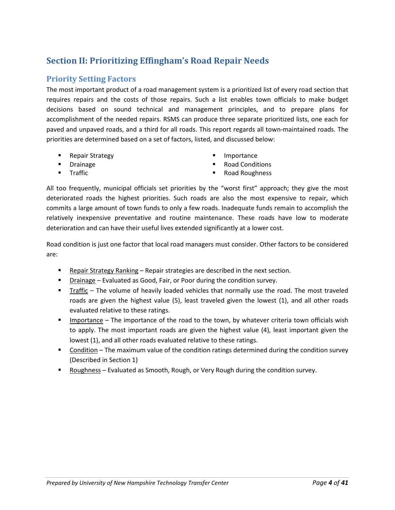## **Section II: Prioritizing Effingham's Road Repair Needs**

#### **Priority Setting Factors**

The most important product of a road management system is a prioritized list of every road section that requires repairs and the costs of those repairs. Such a list enables town officials to make budget decisions based on sound technical and management principles, and to prepare plans for accomplishment of the needed repairs. RSMS can produce three separate prioritized lists, one each for paved and unpaved roads, and a third for all roads. This report regards all town-maintained roads. The priorities are determined based on a set of factors, listed, and discussed below:

- Repair Strategy
- Drainage
- Traffic
- **Importance**
- Road Conditions
- Road Roughness

All too frequently, municipal officials set priorities by the "worst first" approach; they give the most deteriorated roads the highest priorities. Such roads are also the most expensive to repair, which commits a large amount of town funds to only a few roads. Inadequate funds remain to accomplish the relatively inexpensive preventative and routine maintenance. These roads have low to moderate deterioration and can have their useful lives extended significantly at a lower cost.

Road condition is just one factor that local road managers must consider. Other factors to be considered are:

- Repair Strategy Ranking Repair strategies are described in the next section.
- Drainage Evaluated as Good, Fair, or Poor during the condition survey.
- Traffic The volume of heavily loaded vehicles that normally use the road. The most traveled roads are given the highest value (5), least traveled given the lowest (1), and all other roads evaluated relative to these ratings.
- **IMPORTAGE The importance of the road to the town, by whatever criteria town officials wish** to apply. The most important roads are given the highest value (4), least important given the lowest (1), and all other roads evaluated relative to these ratings.
- Condition The maximum value of the condition ratings determined during the condition survey (Described in Section 1)
- Roughness Evaluated as Smooth, Rough, or Very Rough during the condition survey.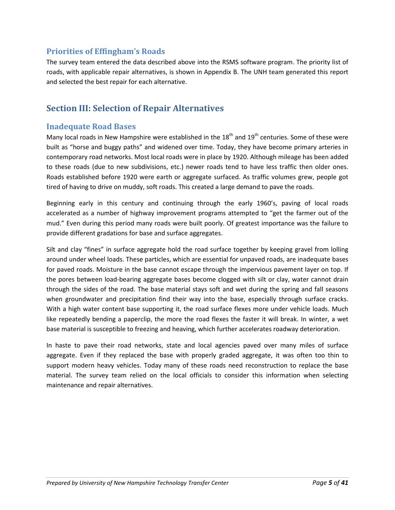#### **Priorities of Effingham's Roads**

The survey team entered the data described above into the RSMS software program. The priority list of roads, with applicable repair alternatives, is shown in Appendix B. The UNH team generated this report and selected the best repair for each alternative.

## **Section III: Selection of Repair Alternatives**

#### **Inadequate Road Bases**

Many local roads in New Hampshire were established in the  $18<sup>th</sup>$  and  $19<sup>th</sup>$  centuries. Some of these were built as "horse and buggy paths" and widened over time. Today, they have become primary arteries in contemporary road networks. Most local roads were in place by 1920. Although mileage has been added to these roads (due to new subdivisions, etc.) newer roads tend to have less traffic then older ones. Roads established before 1920 were earth or aggregate surfaced. As traffic volumes grew, people got tired of having to drive on muddy, soft roads. This created a large demand to pave the roads.

Beginning early in this century and continuing through the early 1960's, paving of local roads accelerated as a number of highway improvement programs attempted to "get the farmer out of the mud." Even during this period many roads were built poorly. Of greatest importance was the failure to provide different gradations for base and surface aggregates.

Silt and clay "fines" in surface aggregate hold the road surface together by keeping gravel from lolling around under wheel loads. These particles, which are essential for unpaved roads, are inadequate bases for paved roads. Moisture in the base cannot escape through the impervious pavement layer on top. If the pores between load-bearing aggregate bases become clogged with silt or clay, water cannot drain through the sides of the road. The base material stays soft and wet during the spring and fall seasons when groundwater and precipitation find their way into the base, especially through surface cracks. With a high water content base supporting it, the road surface flexes more under vehicle loads. Much like repeatedly bending a paperclip, the more the road flexes the faster it will break. In winter, a wet base material is susceptible to freezing and heaving, which further accelerates roadway deterioration.

In haste to pave their road networks, state and local agencies paved over many miles of surface aggregate. Even if they replaced the base with properly graded aggregate, it was often too thin to support modern heavy vehicles. Today many of these roads need reconstruction to replace the base material. The survey team relied on the local officials to consider this information when selecting maintenance and repair alternatives.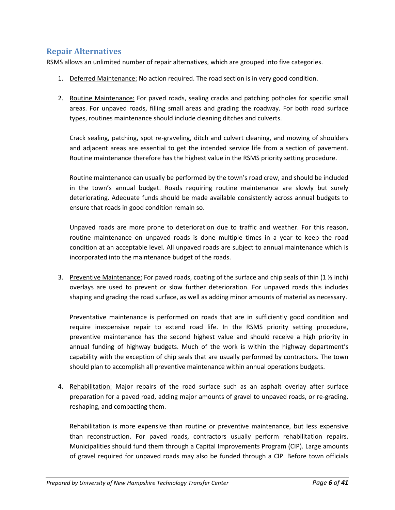#### **Repair Alternatives**

RSMS allows an unlimited number of repair alternatives, which are grouped into five categories.

- 1. Deferred Maintenance: No action required. The road section is in very good condition.
- 2. Routine Maintenance: For paved roads, sealing cracks and patching potholes for specific small areas. For unpaved roads, filling small areas and grading the roadway. For both road surface types, routines maintenance should include cleaning ditches and culverts.

Crack sealing, patching, spot re-graveling, ditch and culvert cleaning, and mowing of shoulders and adjacent areas are essential to get the intended service life from a section of pavement. Routine maintenance therefore has the highest value in the RSMS priority setting procedure.

Routine maintenance can usually be performed by the town's road crew, and should be included in the town's annual budget. Roads requiring routine maintenance are slowly but surely deteriorating. Adequate funds should be made available consistently across annual budgets to ensure that roads in good condition remain so.

Unpaved roads are more prone to deterioration due to traffic and weather. For this reason, routine maintenance on unpaved roads is done multiple times in a year to keep the road condition at an acceptable level. All unpaved roads are subject to annual maintenance which is incorporated into the maintenance budget of the roads.

3. Preventive Maintenance: For paved roads, coating of the surface and chip seals of thin  $(1 \times \text{inch})$ overlays are used to prevent or slow further deterioration. For unpaved roads this includes shaping and grading the road surface, as well as adding minor amounts of material as necessary.

Preventative maintenance is performed on roads that are in sufficiently good condition and require inexpensive repair to extend road life. In the RSMS priority setting procedure, preventive maintenance has the second highest value and should receive a high priority in annual funding of highway budgets. Much of the work is within the highway department's capability with the exception of chip seals that are usually performed by contractors. The town should plan to accomplish all preventive maintenance within annual operations budgets.

4. Rehabilitation: Major repairs of the road surface such as an asphalt overlay after surface preparation for a paved road, adding major amounts of gravel to unpaved roads, or re-grading, reshaping, and compacting them.

Rehabilitation is more expensive than routine or preventive maintenance, but less expensive than reconstruction. For paved roads, contractors usually perform rehabilitation repairs. Municipalities should fund them through a Capital Improvements Program (CIP). Large amounts of gravel required for unpaved roads may also be funded through a CIP. Before town officials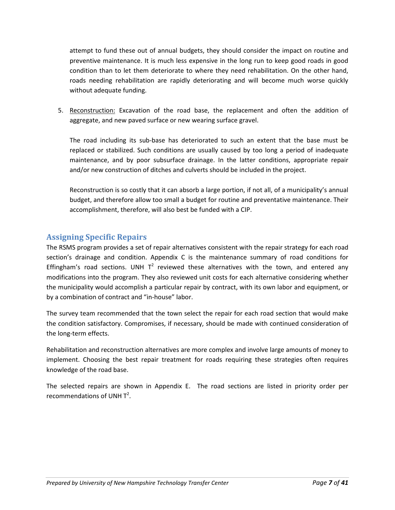attempt to fund these out of annual budgets, they should consider the impact on routine and preventive maintenance. It is much less expensive in the long run to keep good roads in good condition than to let them deteriorate to where they need rehabilitation. On the other hand, roads needing rehabilitation are rapidly deteriorating and will become much worse quickly without adequate funding.

5. Reconstruction: Excavation of the road base, the replacement and often the addition of aggregate, and new paved surface or new wearing surface gravel.

The road including its sub-base has deteriorated to such an extent that the base must be replaced or stabilized. Such conditions are usually caused by too long a period of inadequate maintenance, and by poor subsurface drainage. In the latter conditions, appropriate repair and/or new construction of ditches and culverts should be included in the project.

Reconstruction is so costly that it can absorb a large portion, if not all, of a municipality's annual budget, and therefore allow too small a budget for routine and preventative maintenance. Their accomplishment, therefore, will also best be funded with a CIP.

### **Assigning Specific Repairs**

The RSMS program provides a set of repair alternatives consistent with the repair strategy for each road section's drainage and condition. Appendix C is the maintenance summary of road conditions for Effingham's road sections. UNH  $T^2$  reviewed these alternatives with the town, and entered any modifications into the program. They also reviewed unit costs for each alternative considering whether the municipality would accomplish a particular repair by contract, with its own labor and equipment, or by a combination of contract and "in-house" labor.

The survey team recommended that the town select the repair for each road section that would make the condition satisfactory. Compromises, if necessary, should be made with continued consideration of the long-term effects.

Rehabilitation and reconstruction alternatives are more complex and involve large amounts of money to implement. Choosing the best repair treatment for roads requiring these strategies often requires knowledge of the road base.

The selected repairs are shown in Appendix E. The road sections are listed in priority order per recommendations of UNH  $T^2$ .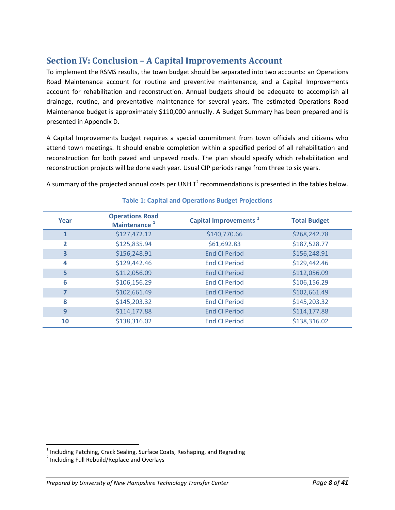## **Section IV: Conclusion – A Capital Improvements Account**

To implement the RSMS results, the town budget should be separated into two accounts: an Operations Road Maintenance account for routine and preventive maintenance, and a Capital Improvements account for rehabilitation and reconstruction. Annual budgets should be adequate to accomplish all drainage, routine, and preventative maintenance for several years. The estimated Operations Road Maintenance budget is approximately \$110,000 annually. A Budget Summary has been prepared and is presented in Appendix D.

A Capital Improvements budget requires a special commitment from town officials and citizens who attend town meetings. It should enable completion within a specified period of all rehabilitation and reconstruction for both paved and unpaved roads. The plan should specify which rehabilitation and reconstruction projects will be done each year. Usual CIP periods range from three to six years.

A summary of the projected annual costs per UNH  $T^2$  recommendations is presented in the tables below.

| Year | <b>Operations Road</b><br>Maintenance <sup>1</sup> | Capital Improvements <sup>2</sup> | <b>Total Budget</b> |
|------|----------------------------------------------------|-----------------------------------|---------------------|
|      | \$127,472.12                                       | \$140,770.66                      | \$268,242.78        |
| 2    | \$125,835.94                                       | \$61,692.83                       | \$187,528.77        |
| 3    | \$156,248.91                                       | <b>End CI Period</b>              | \$156,248.91        |
| 4    | \$129,442.46                                       | <b>End CI Period</b>              | \$129,442.46        |
| 5    | \$112,056.09                                       | <b>End CI Period</b>              | \$112,056.09        |
| 6    | \$106,156.29                                       | <b>End CI Period</b>              | \$106,156.29        |
|      | \$102,661.49                                       | <b>End CI Period</b>              | \$102,661.49        |
| 8    | \$145,203.32                                       | <b>End CI Period</b>              | \$145,203.32        |
| 9    | \$114,177.88                                       | <b>End CI Period</b>              | \$114,177.88        |
| 10   | \$138,316.02                                       | <b>End CI Period</b>              | \$138,316.02        |

#### **Table 1: Capital and Operations Budget Projections**

 $\overline{\phantom{a}}$ 

 $<sup>1</sup>$  Including Patching, Crack Sealing, Surface Coats, Reshaping, and Regrading</sup>

<sup>2</sup> Including Full Rebuild/Replace and Overlays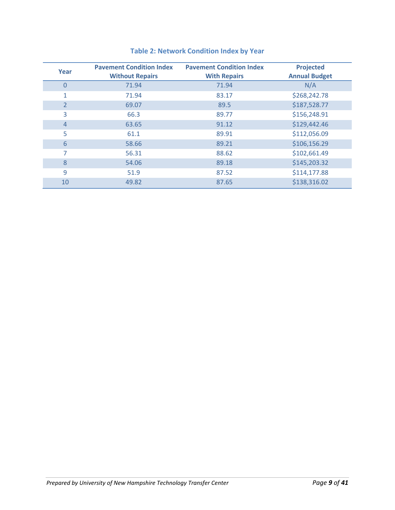| Year           | <b>Pavement Condition Index</b><br><b>Without Repairs</b> | <b>Pavement Condition Index</b><br><b>With Repairs</b> | <b>Projected</b><br><b>Annual Budget</b> |
|----------------|-----------------------------------------------------------|--------------------------------------------------------|------------------------------------------|
| $\Omega$       | 71.94                                                     | 71.94                                                  | N/A                                      |
| 1              | 71.94                                                     | 83.17                                                  | \$268,242.78                             |
| $\overline{2}$ | 69.07                                                     | 89.5                                                   | \$187,528.77                             |
| 3              | 66.3                                                      | 89.77                                                  | \$156,248.91                             |
| $\overline{4}$ | 63.65                                                     | 91.12                                                  | \$129,442.46                             |
| 5              | 61.1                                                      | 89.91                                                  | \$112,056.09                             |
| 6              | 58.66                                                     | 89.21                                                  | \$106,156.29                             |
| $\overline{7}$ | 56.31                                                     | 88.62                                                  | \$102,661.49                             |
| 8              | 54.06                                                     | 89.18                                                  | \$145,203.32                             |
| 9              | 51.9                                                      | 87.52                                                  | \$114,177.88                             |
| 10             | 49.82                                                     | 87.65                                                  | \$138,316.02                             |

## **Table 2: Network Condition Index by Year**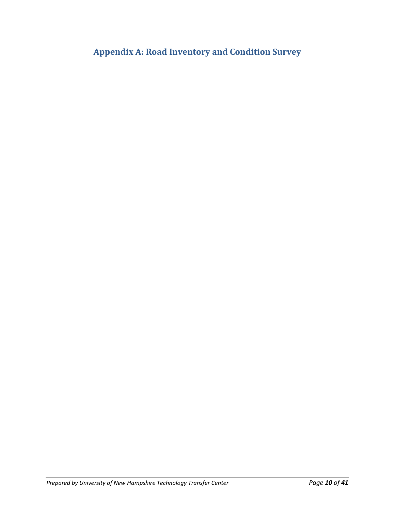**Appendix A: Road Inventory and Condition Survey**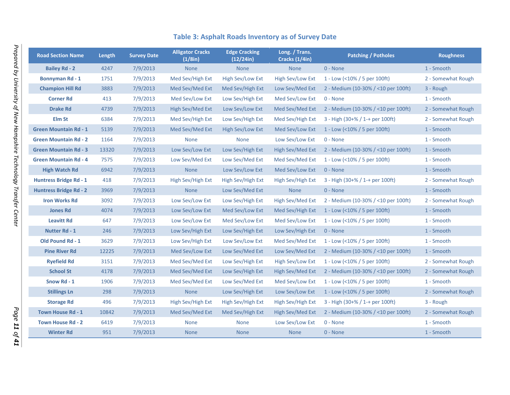| <b>Road Section Name</b>      | Length | <b>Survey Date</b> | <b>Alligator Cracks</b><br>(1/8in) | <b>Edge Cracking</b><br>(12/24in) | Long. / Trans.<br>Cracks (1/4in) | <b>Patching / Potholes</b>           | <b>Roughness</b>   |
|-------------------------------|--------|--------------------|------------------------------------|-----------------------------------|----------------------------------|--------------------------------------|--------------------|
| <b>Bailey Rd - 2</b>          | 4247   | 7/9/2013           | <b>None</b>                        | <b>None</b>                       | <b>None</b>                      | 0 - None                             | 1 - Smooth         |
| <b>Bonnyman Rd - 1</b>        | 1751   | 7/9/2013           | Med Sev/High Ext                   | High Sev/Low Ext                  | High Sev/Low Ext                 | 1 - Low (<10% / 5 per 100ft)         | 2 - Somewhat Rough |
| <b>Champion Hill Rd</b>       | 3883   | 7/9/2013           | Med Sev/Med Ext                    | Med Sev/High Ext                  | Low Sev/Med Ext                  | 2 - Medium (10-30% / <10 per 100ft)  | 3 - Rough          |
| <b>Corner Rd</b>              | 413    | 7/9/2013           | Med Sev/Low Ext                    | Low Sev/High Ext                  | Med Sev/Low Ext                  | 0 - None                             | 1 - Smooth         |
| <b>Drake Rd</b>               | 4739   | 7/9/2013           | High Sev/Med Ext                   | Low Sev/Low Ext                   | Med Sev/Med Ext                  | 2 - Medium (10-30% / <10 per 100ft)  | 2 - Somewhat Rough |
| Elm St                        | 6384   | 7/9/2013           | Med Sev/High Ext                   | Low Sev/High Ext                  | Med Sev/High Ext                 | $3 - High (30+% / 1 + per 100ft)$    | 2 - Somewhat Rough |
| <b>Green Mountain Rd - 1</b>  | 5139   | 7/9/2013           | Med Sev/Med Ext                    | High Sev/Low Ext                  | Med Sev/Low Ext                  | 1 - Low (<10% / 5 per 100ft)         | 1 - Smooth         |
| <b>Green Mountain Rd - 2</b>  | 1164   | 7/9/2013           | <b>None</b>                        | <b>None</b>                       | Low Sev/Low Ext                  | 0 - None                             | 1 - Smooth         |
| <b>Green Mountain Rd - 3</b>  | 13320  | 7/9/2013           | Low Sev/Low Ext                    | Low Sev/High Ext                  | High Sev/Med Ext                 | 2 - Medium (10-30% / <10 per 100ft)  | 1 - Smooth         |
| <b>Green Mountain Rd - 4</b>  | 7575   | 7/9/2013           | Low Sev/Med Ext                    | Low Sev/Med Ext                   | Med Sev/Med Ext                  | 1 - Low (<10% / 5 per 100ft)         | 1 - Smooth         |
| <b>High Watch Rd</b>          | 6942   | 7/9/2013           | <b>None</b>                        | Low Sev/Low Ext                   | Med Sev/Low Ext                  | 0 - None                             | 1 - Smooth         |
| Huntress Bridge Rd - 1        | 418    | 7/9/2013           | High Sev/High Ext                  | High Sev/High Ext                 | High Sev/High Ext                | $3 - High (30+% / 1 + per 100ft)$    | 2 - Somewhat Rough |
| <b>Huntress Bridge Rd - 2</b> | 3969   | 7/9/2013           | <b>None</b>                        | Low Sev/Med Ext                   | <b>None</b>                      | 0 - None                             | 1 - Smooth         |
| <b>Iron Works Rd</b>          | 3092   | 7/9/2013           | Low Sev/Low Ext                    | Low Sev/High Ext                  | High Sev/Med Ext                 | 2 - Medium (10-30% / <10 per 100ft)  | 2 - Somewhat Rough |
| <b>Jones Rd</b>               | 4074   | 7/9/2013           | Low Sev/Low Ext                    | Med Sev/Low Ext                   | Med Sev/High Ext                 | 1 - Low (<10% / 5 per 100ft)         | 1 - Smooth         |
| <b>Leavitt Rd</b>             | 647    | 7/9/2013           | Low Sev/Low Ext                    | Med Sev/Low Ext                   | Med Sev/Low Ext                  | 1 - Low (<10% / 5 per 100ft)         | 1 - Smooth         |
| <b>Nutter Rd - 1</b>          | 246    | 7/9/2013           | Low Sev/High Ext                   | Low Sev/High Ext                  | Low Sev/High Ext                 | $0 - None$                           | 1 - Smooth         |
| <b>Old Pound Rd - 1</b>       | 3629   | 7/9/2013           | Low Sev/High Ext                   | Low Sev/Low Ext                   | Med Sev/Med Ext                  | 1 - Low (<10% / 5 per 100ft)         | 1 - Smooth         |
| <b>Pine River Rd</b>          | 12225  | 7/9/2013           | Med Sev/Low Ext                    | Low Sev/Med Ext                   | Low Sev/Med Ext                  | 2 - Medium (10-30% / <10 per 100ft)  | 1 - Smooth         |
| <b>Ryefield Rd</b>            | 3151   | 7/9/2013           | Med Sev/Med Ext                    | Low Sev/High Ext                  | High Sev/Low Ext                 | 1 - Low (<10% / 5 per 100ft)         | 2 - Somewhat Rough |
| <b>School St</b>              | 4178   | 7/9/2013           | Med Sev/Med Ext                    | Low Sev/High Ext                  | High Sev/Med Ext                 | 2 - Medium (10-30% / <10 per 100ft)  | 2 - Somewhat Rough |
| Snow Rd - 1                   | 1906   | 7/9/2013           | Med Sev/Med Ext                    | Low Sev/Med Ext                   | Med Sev/Low Ext                  | 1 - Low (<10% / 5 per 100ft)         | 1 - Smooth         |
| <b>Stillings Ln</b>           | 298    | 7/9/2013           | <b>None</b>                        | Low Sev/High Ext                  | Low Sev/Low Ext                  | 1 - Low (<10% / 5 per 100ft)         | 2 - Somewhat Rough |
| <b>Storage Rd</b>             | 496    | 7/9/2013           | High Sev/High Ext                  | High Sev/High Ext                 | High Sev/High Ext                | $3 - High (30 + % 1 - + per 100 ft)$ | 3 - Rough          |
| <b>Town House Rd - 1</b>      | 10842  | 7/9/2013           | Med Sev/Med Ext                    | Med Sev/High Ext                  | <b>High Sev/Med Ext</b>          | 2 - Medium (10-30% / <10 per 100ft)  | 2 - Somewhat Rough |
| <b>Town House Rd - 2</b>      | 6419   | 7/9/2013           | <b>None</b>                        | <b>None</b>                       | Low Sev/Low Ext                  | 0 - None                             | 1 - Smooth         |
| <b>Winter Rd</b>              | 951    | 7/9/2013           | <b>None</b>                        | <b>None</b>                       | <b>None</b>                      | 0 - None                             | 1 - Smooth         |

## **Table 3: Asphalt Roads Inventory as of Survey Date**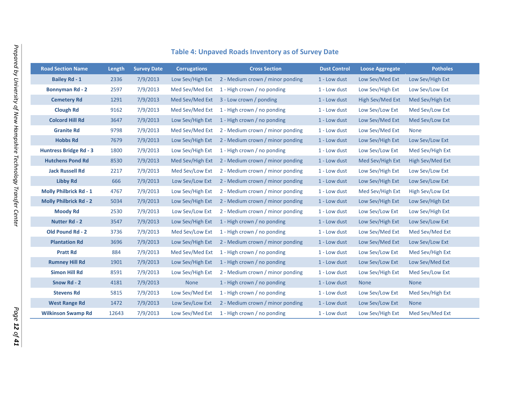| <b>Road Section Name</b>      | Length | <b>Survey Date</b> | <b>Corrugations</b> | <b>Cross Section</b>                              | <b>Dust Control</b> | <b>Loose Aggregate</b> | <b>Potholes</b>  |
|-------------------------------|--------|--------------------|---------------------|---------------------------------------------------|---------------------|------------------------|------------------|
| <b>Bailey Rd - 1</b>          | 2336   | 7/9/2013           |                     | Low Sev/High Ext 2 - Medium crown / minor ponding | 1 - Low dust        | Low Sev/Med Ext        | Low Sev/High Ext |
| <b>Bonnyman Rd - 2</b>        | 2597   | 7/9/2013           |                     | Med Sev/Med Ext 1 - High crown / no ponding       | 1 - Low dust        | Low Sev/High Ext       | Low Sev/Low Ext  |
| <b>Cemetery Rd</b>            | 1291   | 7/9/2013           |                     | Med Sev/Med Ext 3 - Low crown / ponding           | 1 - Low dust        | High Sev/Med Ext       | Med Sev/High Ext |
| <b>Clough Rd</b>              | 9162   | 7/9/2013           |                     | Med Sev/Med Ext 1 - High crown / no ponding       | 1 - Low dust        | Low Sev/Low Ext        | Med Sev/Low Ext  |
| <b>Colcord Hill Rd</b>        | 3647   | 7/9/2013           | Low Sev/High Ext    | 1 - High crown / no ponding                       | 1 - Low dust        | Low Sev/Med Ext        | Med Sev/Low Ext  |
| <b>Granite Rd</b>             | 9798   | 7/9/2013           | Med Sev/Med Ext     | 2 - Medium crown / minor ponding                  | 1 - Low dust        | Low Sev/Med Ext        | <b>None</b>      |
| <b>Hobbs Rd</b>               | 7679   | 7/9/2013           | Low Sev/High Ext    | 2 - Medium crown / minor ponding                  | 1 - Low dust        | Low Sev/High Ext       | Low Sev/Low Ext  |
| <b>Huntress Bridge Rd - 3</b> | 1800   | 7/9/2013           | Low Sev/High Ext    | 1 - High crown / no ponding                       | 1 - Low dust        | Low Sev/Low Ext        | Med Sev/High Ext |
| <b>Hutchens Pond Rd</b>       | 8530   | 7/9/2013           | Med Sev/High Ext    | 2 - Medium crown / minor ponding                  | 1 - Low dust        | Med Sev/High Ext       | High Sev/Med Ext |
| <b>Jack Russell Rd</b>        | 2217   | 7/9/2013           | Med Sev/Low Ext     | 2 - Medium crown / minor ponding                  | 1 - Low dust        | Low Sev/High Ext       | Low Sev/Low Ext  |
| <b>Libby Rd</b>               | 666    | 7/9/2013           | Low Sev/Low Ext     | 2 - Medium crown / minor ponding                  | 1 - Low dust        | Low Sev/High Ext       | Low Sev/Low Ext  |
| <b>Molly Philbrick Rd - 1</b> | 4767   | 7/9/2013           | Low Sev/High Ext    | 2 - Medium crown / minor ponding                  | 1 - Low dust        | Med Sev/High Ext       | High Sev/Low Ext |
| <b>Molly Philbrick Rd - 2</b> | 5034   | 7/9/2013           | Low Sev/High Ext    | 2 - Medium crown / minor ponding                  | 1 - Low dust        | Low Sev/High Ext       | Low Sev/High Ext |
| <b>Moody Rd</b>               | 2530   | 7/9/2013           | Low Sev/Low Ext     | 2 - Medium crown / minor ponding                  | 1 - Low dust        | Low Sev/Low Ext        | Low Sev/High Ext |
| <b>Nutter Rd - 2</b>          | 3547   | 7/9/2013           | Low Sev/High Ext    | 1 - High crown / no ponding                       | 1 - Low dust        | Low Sev/High Ext       | Low Sev/Low Ext  |
| <b>Old Pound Rd - 2</b>       | 3736   | 7/9/2013           | Med Sev/Low Ext     | 1 - High crown / no ponding                       | 1 - Low dust        | Low Sev/Med Ext        | Med Sev/Med Ext  |
| <b>Plantation Rd</b>          | 3696   | 7/9/2013           | Low Sev/High Ext    | 2 - Medium crown / minor ponding                  | 1 - Low dust        | Low Sev/Med Ext        | Low Sev/Low Ext  |
| <b>Pratt Rd</b>               | 884    | 7/9/2013           | Med Sev/Med Ext     | 1 - High crown / no ponding                       | 1 - Low dust        | Low Sev/Low Ext        | Med Sev/High Ext |
| <b>Rumney Hill Rd</b>         | 1901   | 7/9/2013           | Low Sev/High Ext    | 1 - High crown / no ponding                       | 1 - Low dust        | Low Sev/Low Ext        | Low Sev/Med Ext  |
| <b>Simon Hill Rd</b>          | 8591   | 7/9/2013           | Low Sev/High Ext    | 2 - Medium crown / minor ponding                  | 1 - Low dust        | Low Sev/High Ext       | Med Sev/Low Ext  |
| Snow Rd - 2                   | 4181   | 7/9/2013           | <b>None</b>         | 1 - High crown / no ponding                       | 1 - Low dust        | <b>None</b>            | <b>None</b>      |
| <b>Stevens Rd</b>             | 5815   | 7/9/2013           | Low Sev/Med Ext     | 1 - High crown / no ponding                       | 1 - Low dust        | Low Sev/Low Ext        | Med Sev/High Ext |
| <b>West Range Rd</b>          | 1472   | 7/9/2013           | Low Sev/Low Ext     | 2 - Medium crown / minor ponding                  | 1 - Low dust        | Low Sev/Low Ext        | <b>None</b>      |
| <b>Wilkinson Swamp Rd</b>     | 12643  | 7/9/2013           | Low Sev/Med Ext     | 1 - High crown / no ponding                       | 1 - Low dust        | Low Sev/High Ext       | Med Sev/Med Ext  |

## **Table 4: Unpaved Roads Inventory as of Survey Date**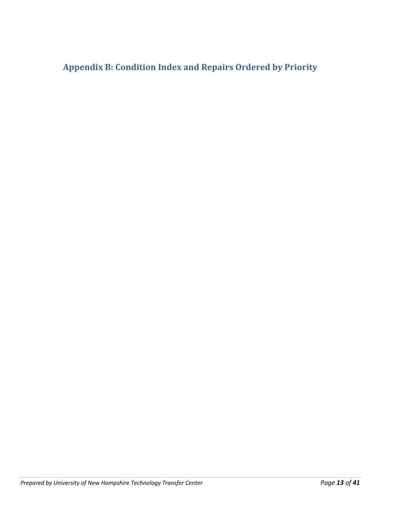**Appendix B: Condition Index and Repairs Ordered by Priority**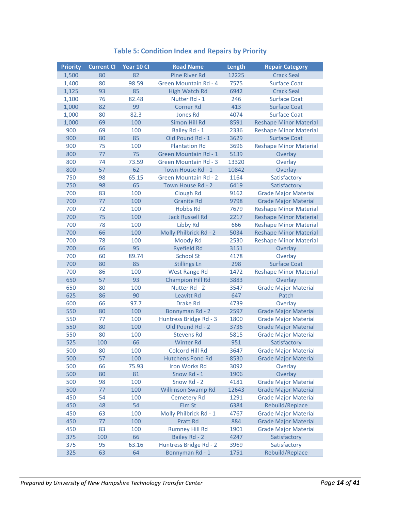| <b>Priority</b> | <b>Current CI</b> | Year 10 Cl | <b>Road Name</b>             | Length | <b>Repair Category</b>        |
|-----------------|-------------------|------------|------------------------------|--------|-------------------------------|
| 1,500           | 80                | 82         | <b>Pine River Rd</b>         | 12225  | <b>Crack Seal</b>             |
| 1,400           | 80                | 98.59      | Green Mountain Rd - 4        | 7575   | <b>Surface Coat</b>           |
| 1,125           | 93                | 85         | High Watch Rd                | 6942   | <b>Crack Seal</b>             |
| 1,100           | 76                | 82.48      | Nutter Rd - 1                | 246    | <b>Surface Coat</b>           |
| 1,000           | 82                | 99         | <b>Corner Rd</b>             | 413    | <b>Surface Coat</b>           |
| 1,000           | 80                | 82.3       | <b>Jones Rd</b>              | 4074   | <b>Surface Coat</b>           |
| 1,000           | 69                | 100        | Simon Hill Rd                | 8591   | <b>Reshape Minor Material</b> |
| 900             | 69                | 100        | Bailey Rd - 1                | 2336   | <b>Reshape Minor Material</b> |
| 900             | 80                | 85         | Old Pound Rd - 1             | 3629   | <b>Surface Coat</b>           |
| 900             | 75                | 100        | <b>Plantation Rd</b>         | 3696   | <b>Reshape Minor Material</b> |
| 800             | 77                | 75         | Green Mountain Rd - 1        | 5139   | Overlay                       |
| 800             | 74                | 73.59      | <b>Green Mountain Rd - 3</b> | 13320  | Overlay                       |
| 800             | 57                | 62         | Town House Rd - 1            | 10842  | Overlay                       |
| 750             | 98                | 65.15      | <b>Green Mountain Rd - 2</b> | 1164   | Satisfactory                  |
| 750             | 98                | 65         | Town House Rd - 2            | 6419   | Satisfactory                  |
| 700             | 83                | 100        | Clough Rd                    | 9162   | <b>Grade Major Material</b>   |
| 700             | 77                | 100        | <b>Granite Rd</b>            | 9798   | <b>Grade Major Material</b>   |
| 700             | 72                | 100        | <b>Hobbs Rd</b>              | 7679   | <b>Reshape Minor Material</b> |
| 700             | 75                | 100        | <b>Jack Russell Rd</b>       | 2217   | <b>Reshape Minor Material</b> |
| 700             | 78                | 100        | Libby Rd                     | 666    | <b>Reshape Minor Material</b> |
| 700             | 66                | 100        | Molly Philbrick Rd - 2       | 5034   | <b>Reshape Minor Material</b> |
| 700             | 78                | 100        | Moody Rd                     | 2530   | <b>Reshape Minor Material</b> |
| 700             | 66                | 95         | <b>Ryefield Rd</b>           | 3151   | Overlay                       |
| 700             | 60                | 89.74      | <b>School St</b>             | 4178   | Overlay                       |
| 700             | 80                | 85         | <b>Stillings Ln</b>          | 298    | <b>Surface Coat</b>           |
| 700             | 86                | 100        | <b>West Range Rd</b>         | 1472   | <b>Reshape Minor Material</b> |
| 650             | 57                | 93         | <b>Champion Hill Rd</b>      | 3883   | Overlay                       |
| 650             | 80                | 100        | Nutter Rd - 2                | 3547   | <b>Grade Major Material</b>   |
| 625             | 86                | 90         | Leavitt Rd                   | 647    | Patch                         |
| 600             | 66                | 97.7       | <b>Drake Rd</b>              | 4739   | Overlay                       |
| 550             | 80                | 100        | Bonnyman Rd - 2              | 2597   | <b>Grade Major Material</b>   |
| 550             | 77                | 100        | Huntress Bridge Rd - 3       | 1800   | <b>Grade Major Material</b>   |
| 550             | 80                | 100        | Old Pound Rd - 2             | 3736   | <b>Grade Major Material</b>   |
| 550             | 80                | 100        | <b>Stevens Rd</b>            | 5815   | <b>Grade Major Material</b>   |
| 525             | 100               | 66         | <b>Winter Rd</b>             | 951    | Satisfactory                  |
| 500             | 80                | 100        | Colcord Hill Rd              | 3647   | <b>Grade Major Material</b>   |
| 500             | 57                | 100        | <b>Hutchens Pond Rd</b>      | 8530   | <b>Grade Major Material</b>   |
| 500             | 66                | 75.93      | Iron Works Rd                | 3092   | Overlay                       |
| 500             | 80                | 81         | Snow Rd - 1                  | 1906   | Overlay                       |
| 500             | 98                | 100        | Snow Rd - 2                  | 4181   | <b>Grade Major Material</b>   |
| 500             | 77                | 100        | <b>Wilkinson Swamp Rd</b>    | 12643  | <b>Grade Major Material</b>   |
| 450             | 54                | 100        | <b>Cemetery Rd</b>           | 1291   | <b>Grade Major Material</b>   |
| 450             | 48                | 54         | Elm St                       | 6384   | Rebuild/Replace               |
| 450             | 63                | 100        | Molly Philbrick Rd - 1       | 4767   | <b>Grade Major Material</b>   |
| 450             | 77                | 100        | Pratt Rd                     | 884    | <b>Grade Major Material</b>   |
| 450             | 83                | 100        | <b>Rumney Hill Rd</b>        | 1901   | <b>Grade Major Material</b>   |
| 375             | 100               | 66         | Bailey Rd - 2                | 4247   | Satisfactory                  |
| 375             | 95                | 63.16      | Huntress Bridge Rd - 2       | 3969   | Satisfactory                  |
| 325             | 63                | 64         | Bonnyman Rd - 1              | 1751   | Rebuild/Replace               |

## **Table 5: Condition Index and Repairs by Priority**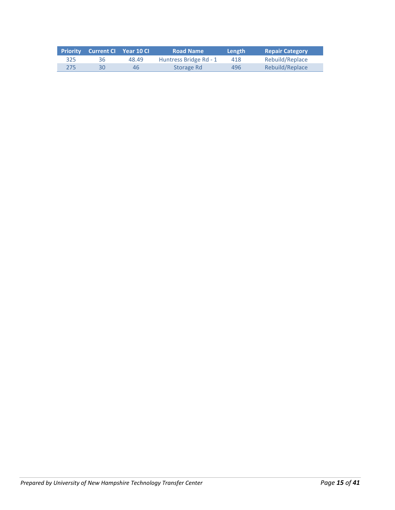|     | Priority Current CI Year 10 CI |       | <b>Road Name</b>       | Length | <b>Repair Category</b> |
|-----|--------------------------------|-------|------------------------|--------|------------------------|
| 325 | 36                             | 48.49 | Huntress Bridge Rd - 1 | 418    | Rebuild/Replace        |
| 275 | 30                             | 46    | Storage Rd             | 496    | Rebuild/Replace        |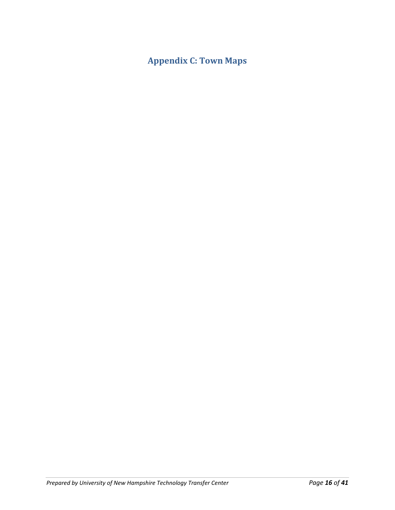# **Appendix C: Town Maps**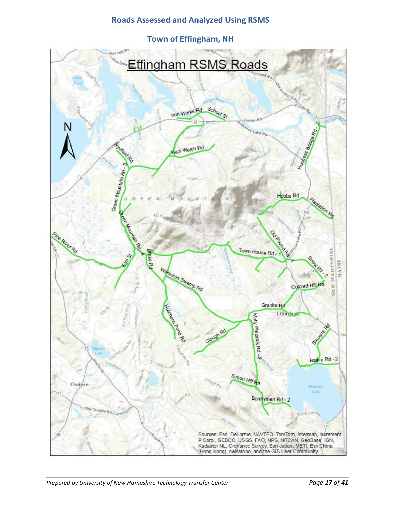## **Roads Assessed and Analyzed Using RSMS**

**Town of Effingham, NH**

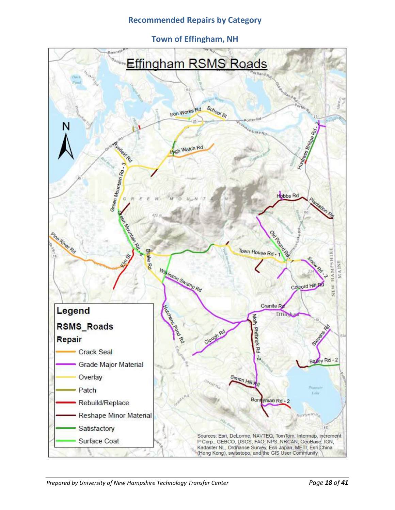#### **Recommended Repairs by Category**

**Town of Effingham, NH**

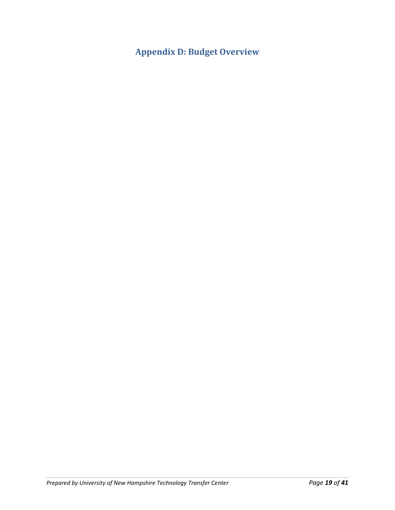**Appendix D: Budget Overview**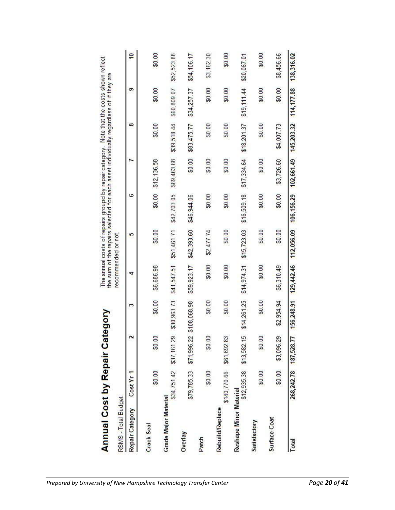| <b>Annual Cost by Repair Ca</b> |                          |                         | tegory       |             | The annual costs of repairs groupd by repair category. Note that the costs shown reflect<br>the sum of the repairs selected for each asset individually regardless of if they are |             |                                  |             |             |                         |
|---------------------------------|--------------------------|-------------------------|--------------|-------------|-----------------------------------------------------------------------------------------------------------------------------------------------------------------------------------|-------------|----------------------------------|-------------|-------------|-------------------------|
| RSMS - Total Budget             |                          |                         |              |             | recommended or not                                                                                                                                                                |             |                                  |             |             |                         |
| Repair Category                 | Cost Yr <sub>1</sub>     |                         | S            | ₹           | 5                                                                                                                                                                                 | ہ           |                                  | ∞           | ග           | $\overline{\mathbf{e}}$ |
| Crack Seal                      | \$0.00                   | \$0.00                  | \$0.00       | \$6,686.98  | \$0.00                                                                                                                                                                            | \$0.00      | \$12,136.58                      | \$0.00      | \$0.00      | \$0.00                  |
| <b>Grade Major Material</b>     |                          | \$34,751.42 \$37,161.29 | \$30,963.73  | \$41,547.51 | \$51,461.71 \$42.703.05                                                                                                                                                           |             | \$69.463.68                      | \$39.518.44 | \$60,809.07 | \$52,523.88             |
| Overlay                         | \$79,785.33              | \$71,996.22             | \$108,068.98 | \$59,923.17 | \$42,393.60                                                                                                                                                                       | \$46,944.06 | \$0.00                           | \$83,475.77 | \$34,257.37 | \$54,106.17             |
| Patch                           | \$0.00                   | \$0.00                  | \$0.00       | \$0.00      | \$2,477.74                                                                                                                                                                        | \$0.00      | \$0.00                           | \$0.00      | \$0.00      | \$3,162.30              |
| <b>Rebuild/Replace</b>          | \$140,770.66 \$61,692.83 |                         | \$0.00       | \$0.00      | \$0.00                                                                                                                                                                            | \$0.00      | \$0.00                           | \$0.00      | \$0.00      | \$0.00                  |
| Reshape Minor Material          | \$12,935.38              | \$13,582.15             | \$14,261.25  | \$14,974.31 | \$15,723.03                                                                                                                                                                       | \$16,509.18 | \$17,334.64                      | \$18,201.37 | \$19,111.44 | \$20,067.01             |
| Satisfactory                    | \$0.00                   | \$0.00                  | \$0.00       | \$0.00      | \$0.00                                                                                                                                                                            | \$0.00      | \$0.00                           | \$0.00      | \$0.00      | \$0.00                  |
| Surface Coat                    | \$0.00                   | \$3,096.29              | \$2,954.94   | \$6,310.49  | \$0.00                                                                                                                                                                            | \$0.00      | \$3,726.60                       | \$4,007.73  | \$0.00      | \$8,456.66              |
| Total                           |                          | 268,242.78 187,528.77   | 156,248.91   |             | 129,442.46 112,056.09                                                                                                                                                             | 106,156.29  | 102,661.49 145,203.32 114,177.88 |             |             | 138,316.02              |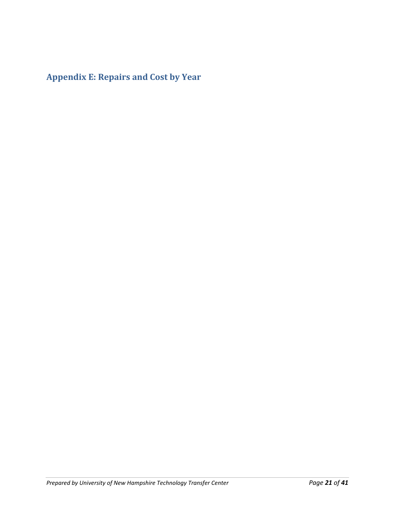**Appendix E: Repairs and Cost by Year**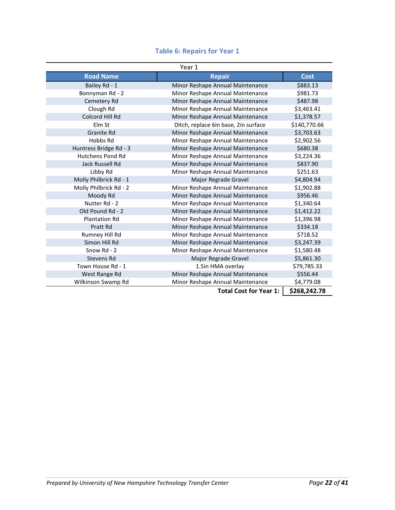|  |  | <b>Table 6: Repairs for Year 1</b> |  |  |  |
|--|--|------------------------------------|--|--|--|
|--|--|------------------------------------|--|--|--|

|                        | Year 1                               |              |
|------------------------|--------------------------------------|--------------|
| <b>Road Name</b>       | <b>Repair</b>                        | <b>Cost</b>  |
| Bailey Rd - 1          | Minor Reshape Annual Maintenance     | \$883.13     |
| Bonnyman Rd - 2        | Minor Reshape Annual Maintenance     | \$981.73     |
| Cemetery Rd            | Minor Reshape Annual Maintenance     | \$487.98     |
| Clough Rd              | Minor Reshape Annual Maintenance     | \$3,463.41   |
| Colcord Hill Rd        | Minor Reshape Annual Maintenance     | \$1,378.57   |
| Elm St                 | Ditch, replace 6in base, 2in surface | \$140,770.66 |
| Granite Rd             | Minor Reshape Annual Maintenance     | \$3,703.63   |
| Hobbs Rd               | Minor Reshape Annual Maintenance     | \$2,902.56   |
| Huntress Bridge Rd - 3 | Minor Reshape Annual Maintenance     | \$680.38     |
| Hutchens Pond Rd       | Minor Reshape Annual Maintenance     | \$3,224.36   |
| Jack Russell Rd        | Minor Reshape Annual Maintenance     | \$837.90     |
| Libby Rd               | Minor Reshape Annual Maintenance     | \$251.63     |
| Molly Philbrick Rd - 1 | Major Regrade Gravel                 | \$4,804.94   |
| Molly Philbrick Rd - 2 | Minor Reshape Annual Maintenance     | \$1,902.88   |
| Moody Rd               | Minor Reshape Annual Maintenance     | \$956.46     |
| Nutter Rd - 2          | Minor Reshape Annual Maintenance     | \$1,340.64   |
| Old Pound Rd - 2       | Minor Reshape Annual Maintenance     | \$1,412.22   |
| <b>Plantation Rd</b>   | Minor Reshape Annual Maintenance     | \$1,396.98   |
| Pratt Rd               | Minor Reshape Annual Maintenance     | \$334.18     |
| Rumney Hill Rd         | Minor Reshape Annual Maintenance     | \$718.52     |
| Simon Hill Rd          | Minor Reshape Annual Maintenance     | \$3,247.39   |
| Snow Rd - 2            | Minor Reshape Annual Maintenance     | \$1,580.48   |
| Stevens Rd             | Major Regrade Gravel                 | \$5,861.30   |
| Town House Rd - 1      | 1.5in HMA overlay                    | \$79,785.33  |
| West Range Rd          | Minor Reshape Annual Maintenance     | \$556.44     |
| Wilkinson Swamp Rd     | Minor Reshape Annual Maintenance     | \$4,779.08   |
|                        | <b>Total Cost for Year 1:</b>        | \$268,242.78 |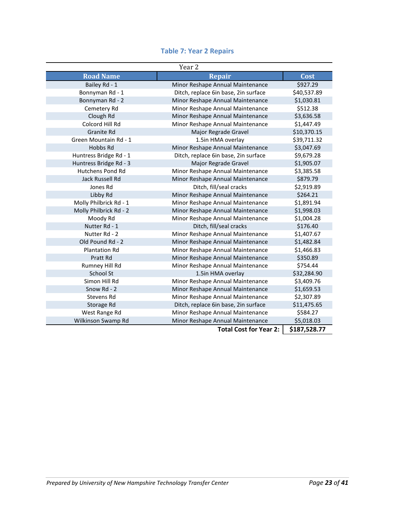|                         | Year 2                               |              |
|-------------------------|--------------------------------------|--------------|
| <b>Road Name</b>        | <b>Repair</b>                        | Cost         |
| Bailey Rd - 1           | Minor Reshape Annual Maintenance     | \$927.29     |
| Bonnyman Rd - 1         | Ditch, replace 6in base, 2in surface | \$40,537.89  |
| Bonnyman Rd - 2         | Minor Reshape Annual Maintenance     | \$1,030.81   |
| Cemetery Rd             | Minor Reshape Annual Maintenance     | \$512.38     |
| Clough Rd               | Minor Reshape Annual Maintenance     | \$3,636.58   |
| Colcord Hill Rd         | Minor Reshape Annual Maintenance     | \$1,447.49   |
| <b>Granite Rd</b>       | Major Regrade Gravel                 | \$10,370.15  |
| Green Mountain Rd - 1   | 1.5in HMA overlay                    | \$39,711.32  |
| Hobbs Rd                | Minor Reshape Annual Maintenance     | \$3,047.69   |
| Huntress Bridge Rd - 1  | Ditch, replace 6in base, 2in surface | \$9,679.28   |
| Huntress Bridge Rd - 3  | Major Regrade Gravel                 | \$1,905.07   |
| <b>Hutchens Pond Rd</b> | Minor Reshape Annual Maintenance     | \$3,385.58   |
| Jack Russell Rd         | Minor Reshape Annual Maintenance     | \$879.79     |
| Jones Rd                | Ditch, fill/seal cracks              | \$2,919.89   |
| Libby Rd                | Minor Reshape Annual Maintenance     | \$264.21     |
| Molly Philbrick Rd - 1  | Minor Reshape Annual Maintenance     | \$1,891.94   |
| Molly Philbrick Rd - 2  | Minor Reshape Annual Maintenance     | \$1,998.03   |
| Moody Rd                | Minor Reshape Annual Maintenance     | \$1,004.28   |
| Nutter Rd - 1           | Ditch, fill/seal cracks              | \$176.40     |
| Nutter Rd - 2           | Minor Reshape Annual Maintenance     | \$1,407.67   |
| Old Pound Rd - 2        | Minor Reshape Annual Maintenance     | \$1,482.84   |
| <b>Plantation Rd</b>    | Minor Reshape Annual Maintenance     | \$1,466.83   |
| Pratt Rd                | Minor Reshape Annual Maintenance     | \$350.89     |
| Rumney Hill Rd          | Minor Reshape Annual Maintenance     | \$754.44     |
| School St               | 1.5in HMA overlay                    | \$32,284.90  |
| Simon Hill Rd           | Minor Reshape Annual Maintenance     | \$3,409.76   |
| Snow Rd - 2             | Minor Reshape Annual Maintenance     | \$1,659.53   |
| Stevens Rd              | Minor Reshape Annual Maintenance     | \$2,307.89   |
| Storage Rd              | Ditch, replace 6in base, 2in surface | \$11,475.65  |
| West Range Rd           | Minor Reshape Annual Maintenance     | \$584.27     |
| Wilkinson Swamp Rd      | Minor Reshape Annual Maintenance     | \$5,018.03   |
|                         | <b>Total Cost for Year 2:</b>        | \$187,528.77 |

#### **Table 7: Year 2 Repairs**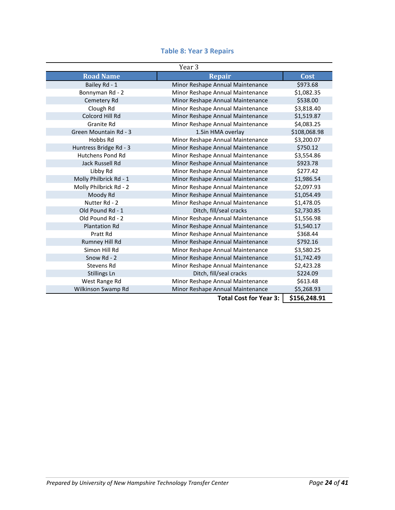|                         | Year 3                           |              |
|-------------------------|----------------------------------|--------------|
| <b>Road Name</b>        | <b>Repair</b>                    | Cost         |
| Bailey Rd - 1           | Minor Reshape Annual Maintenance | \$973.68     |
| Bonnyman Rd - 2         | Minor Reshape Annual Maintenance | \$1,082.35   |
| Cemetery Rd             | Minor Reshape Annual Maintenance | \$538.00     |
| Clough Rd               | Minor Reshape Annual Maintenance | \$3,818.40   |
| Colcord Hill Rd         | Minor Reshape Annual Maintenance | \$1,519.87   |
| Granite Rd              | Minor Reshape Annual Maintenance | \$4,083.25   |
| Green Mountain Rd - 3   | 1.5in HMA overlay                | \$108,068.98 |
| Hobbs Rd                | Minor Reshape Annual Maintenance | \$3,200.07   |
| Huntress Bridge Rd - 3  | Minor Reshape Annual Maintenance | \$750.12     |
| <b>Hutchens Pond Rd</b> | Minor Reshape Annual Maintenance | \$3,554.86   |
| Jack Russell Rd         | Minor Reshape Annual Maintenance | \$923.78     |
| Libby Rd                | Minor Reshape Annual Maintenance | \$277.42     |
| Molly Philbrick Rd - 1  | Minor Reshape Annual Maintenance | \$1,986.54   |
| Molly Philbrick Rd - 2  | Minor Reshape Annual Maintenance | \$2,097.93   |
| Moody Rd                | Minor Reshape Annual Maintenance | \$1,054.49   |
| Nutter Rd - 2           | Minor Reshape Annual Maintenance | \$1,478.05   |
| Old Pound Rd - 1        | Ditch, fill/seal cracks          | \$2,730.85   |
| Old Pound Rd - 2        | Minor Reshape Annual Maintenance | \$1,556.98   |
| <b>Plantation Rd</b>    | Minor Reshape Annual Maintenance | \$1,540.17   |
| Pratt Rd                | Minor Reshape Annual Maintenance | \$368.44     |
| Rumney Hill Rd          | Minor Reshape Annual Maintenance | \$792.16     |
| Simon Hill Rd           | Minor Reshape Annual Maintenance | \$3,580.25   |
| Snow Rd - 2             | Minor Reshape Annual Maintenance | \$1,742.49   |
| Stevens Rd              | Minor Reshape Annual Maintenance | \$2,423.28   |
| Stillings Ln            | Ditch, fill/seal cracks          | \$224.09     |
| West Range Rd           | Minor Reshape Annual Maintenance | \$613.48     |
| Wilkinson Swamp Rd      | Minor Reshape Annual Maintenance | \$5,268.93   |
|                         | <b>Total Cost for Year 3:</b>    | \$156,248.91 |

#### **Table 8: Year 3 Repairs**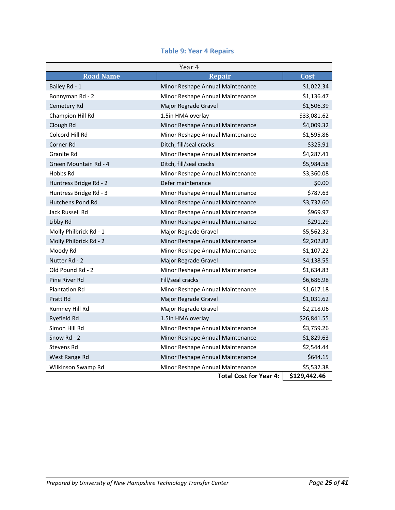| Year 4                  |                                  |             |  |  |
|-------------------------|----------------------------------|-------------|--|--|
| <b>Road Name</b>        | <b>Repair</b>                    | Cost        |  |  |
| Bailey Rd - 1           | Minor Reshape Annual Maintenance | \$1,022.34  |  |  |
| Bonnyman Rd - 2         | Minor Reshape Annual Maintenance | \$1,136.47  |  |  |
| Cemetery Rd             | Major Regrade Gravel             | \$1,506.39  |  |  |
| Champion Hill Rd        | 1.5in HMA overlay                | \$33,081.62 |  |  |
| Clough Rd               | Minor Reshape Annual Maintenance | \$4,009.32  |  |  |
| Colcord Hill Rd         | Minor Reshape Annual Maintenance | \$1,595.86  |  |  |
| Corner Rd               | Ditch, fill/seal cracks          | \$325.91    |  |  |
| Granite Rd              | Minor Reshape Annual Maintenance | \$4,287.41  |  |  |
| Green Mountain Rd - 4   | Ditch, fill/seal cracks          | \$5,984.58  |  |  |
| Hobbs Rd                | Minor Reshape Annual Maintenance | \$3,360.08  |  |  |
| Huntress Bridge Rd - 2  | Defer maintenance                | \$0.00      |  |  |
| Huntress Bridge Rd - 3  | Minor Reshape Annual Maintenance | \$787.63    |  |  |
| <b>Hutchens Pond Rd</b> | Minor Reshape Annual Maintenance | \$3,732.60  |  |  |
| Jack Russell Rd         | Minor Reshape Annual Maintenance | \$969.97    |  |  |
| Libby Rd                | Minor Reshape Annual Maintenance | \$291.29    |  |  |
| Molly Philbrick Rd - 1  | Major Regrade Gravel             | \$5,562.32  |  |  |
| Molly Philbrick Rd - 2  | Minor Reshape Annual Maintenance | \$2,202.82  |  |  |
| Moody Rd                | Minor Reshape Annual Maintenance | \$1,107.22  |  |  |
| Nutter Rd - 2           | Major Regrade Gravel             | \$4,138.55  |  |  |
| Old Pound Rd - 2        | Minor Reshape Annual Maintenance | \$1,634.83  |  |  |
| Pine River Rd           | Fill/seal cracks                 | \$6,686.98  |  |  |
| <b>Plantation Rd</b>    | Minor Reshape Annual Maintenance | \$1,617.18  |  |  |
| Pratt Rd                | Major Regrade Gravel             | \$1,031.62  |  |  |
| Rumney Hill Rd          | Major Regrade Gravel             | \$2,218.06  |  |  |
| Ryefield Rd             | 1.5in HMA overlay                | \$26,841.55 |  |  |
| Simon Hill Rd           | Minor Reshape Annual Maintenance | \$3,759.26  |  |  |
| Snow Rd - 2             | Minor Reshape Annual Maintenance | \$1,829.63  |  |  |
| Stevens Rd              | Minor Reshape Annual Maintenance | \$2,544.44  |  |  |
| West Range Rd           | Minor Reshape Annual Maintenance | \$644.15    |  |  |
| Wilkinson Swamp Rd      | Minor Reshape Annual Maintenance | \$5,532.38  |  |  |

#### **Table 9: Year 4 Repairs**

**Total Cost for Year 4: \$129,442.46**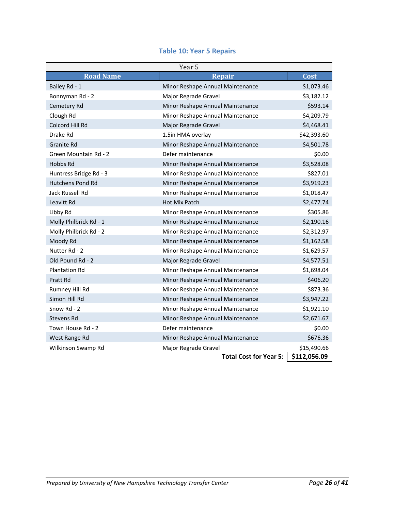|  |  |  | <b>Table 10: Year 5 Repairs</b> |
|--|--|--|---------------------------------|
|--|--|--|---------------------------------|

| Year 5                 |                                  |              |  |  |
|------------------------|----------------------------------|--------------|--|--|
| <b>Road Name</b>       | <b>Repair</b>                    | Cost         |  |  |
| Bailey Rd - 1          | Minor Reshape Annual Maintenance | \$1,073.46   |  |  |
| Bonnyman Rd - 2        | Major Regrade Gravel             | \$3,182.12   |  |  |
| Cemetery Rd            | Minor Reshape Annual Maintenance | \$593.14     |  |  |
| Clough Rd              | Minor Reshape Annual Maintenance | \$4,209.79   |  |  |
| Colcord Hill Rd        | Major Regrade Gravel             | \$4,468.41   |  |  |
| Drake Rd               | 1.5in HMA overlay                | \$42,393.60  |  |  |
| Granite Rd             | Minor Reshape Annual Maintenance | \$4,501.78   |  |  |
| Green Mountain Rd - 2  | Defer maintenance                | \$0.00       |  |  |
| Hobbs Rd               | Minor Reshape Annual Maintenance | \$3,528.08   |  |  |
| Huntress Bridge Rd - 3 | Minor Reshape Annual Maintenance | \$827.01     |  |  |
| Hutchens Pond Rd       | Minor Reshape Annual Maintenance | \$3,919.23   |  |  |
| Jack Russell Rd        | Minor Reshape Annual Maintenance | \$1,018.47   |  |  |
| Leavitt Rd             | <b>Hot Mix Patch</b>             | \$2,477.74   |  |  |
| Libby Rd               | Minor Reshape Annual Maintenance | \$305.86     |  |  |
| Molly Philbrick Rd - 1 | Minor Reshape Annual Maintenance | \$2,190.16   |  |  |
| Molly Philbrick Rd - 2 | Minor Reshape Annual Maintenance | \$2,312.97   |  |  |
| Moody Rd               | Minor Reshape Annual Maintenance | \$1,162.58   |  |  |
| Nutter Rd - 2          | Minor Reshape Annual Maintenance | \$1,629.57   |  |  |
| Old Pound Rd - 2       | Major Regrade Gravel             | \$4,577.51   |  |  |
| <b>Plantation Rd</b>   | Minor Reshape Annual Maintenance | \$1,698.04   |  |  |
| Pratt Rd               | Minor Reshape Annual Maintenance | \$406.20     |  |  |
| Rumney Hill Rd         | Minor Reshape Annual Maintenance | \$873.36     |  |  |
| Simon Hill Rd          | Minor Reshape Annual Maintenance | \$3,947.22   |  |  |
| Snow Rd - 2            | Minor Reshape Annual Maintenance | \$1,921.10   |  |  |
| Stevens Rd             | Minor Reshape Annual Maintenance | \$2,671.67   |  |  |
| Town House Rd - 2      | Defer maintenance                | \$0.00       |  |  |
| West Range Rd          | Minor Reshape Annual Maintenance | \$676.36     |  |  |
| Wilkinson Swamp Rd     | Major Regrade Gravel             | \$15,490.66  |  |  |
|                        | <b>Total Cost for Year 5:</b>    | \$112,056.09 |  |  |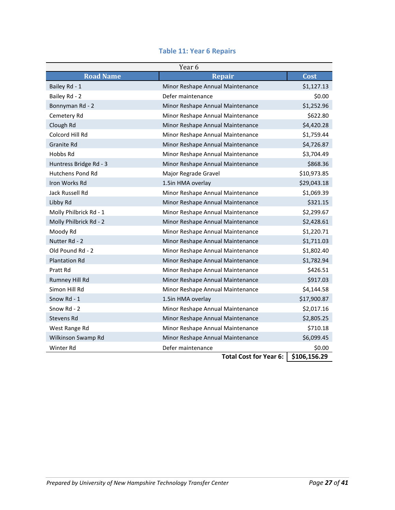|  |  | <b>Table 11: Year 6 Repairs</b> |  |  |
|--|--|---------------------------------|--|--|
|--|--|---------------------------------|--|--|

| Year 6                 |                                  |              |  |  |
|------------------------|----------------------------------|--------------|--|--|
| <b>Road Name</b>       | <b>Repair</b>                    | Cost         |  |  |
| Bailey Rd - 1          | Minor Reshape Annual Maintenance | \$1,127.13   |  |  |
| Bailey Rd - 2          | Defer maintenance                | \$0.00       |  |  |
| Bonnyman Rd - 2        | Minor Reshape Annual Maintenance | \$1,252.96   |  |  |
| Cemetery Rd            | Minor Reshape Annual Maintenance | \$622.80     |  |  |
| Clough Rd              | Minor Reshape Annual Maintenance | \$4,420.28   |  |  |
| Colcord Hill Rd        | Minor Reshape Annual Maintenance | \$1,759.44   |  |  |
| <b>Granite Rd</b>      | Minor Reshape Annual Maintenance | \$4,726.87   |  |  |
| Hobbs Rd               | Minor Reshape Annual Maintenance | \$3,704.49   |  |  |
| Huntress Bridge Rd - 3 | Minor Reshape Annual Maintenance | \$868.36     |  |  |
| Hutchens Pond Rd       | Major Regrade Gravel             | \$10,973.85  |  |  |
| Iron Works Rd          | 1.5in HMA overlay                | \$29,043.18  |  |  |
| Jack Russell Rd        | Minor Reshape Annual Maintenance | \$1,069.39   |  |  |
| Libby Rd               | Minor Reshape Annual Maintenance | \$321.15     |  |  |
| Molly Philbrick Rd - 1 | Minor Reshape Annual Maintenance | \$2,299.67   |  |  |
| Molly Philbrick Rd - 2 | Minor Reshape Annual Maintenance | \$2,428.61   |  |  |
| Moody Rd               | Minor Reshape Annual Maintenance | \$1,220.71   |  |  |
| Nutter Rd - 2          | Minor Reshape Annual Maintenance | \$1,711.03   |  |  |
| Old Pound Rd - 2       | Minor Reshape Annual Maintenance | \$1,802.40   |  |  |
| <b>Plantation Rd</b>   | Minor Reshape Annual Maintenance | \$1,782.94   |  |  |
| Pratt Rd               | Minor Reshape Annual Maintenance | \$426.51     |  |  |
| Rumney Hill Rd         | Minor Reshape Annual Maintenance | \$917.03     |  |  |
| Simon Hill Rd          | Minor Reshape Annual Maintenance | \$4,144.58   |  |  |
| Snow Rd - 1            | 1.5in HMA overlay                | \$17,900.87  |  |  |
| Snow $Rd - 2$          | Minor Reshape Annual Maintenance | \$2,017.16   |  |  |
| Stevens Rd             | Minor Reshape Annual Maintenance | \$2,805.25   |  |  |
| West Range Rd          | Minor Reshape Annual Maintenance | \$710.18     |  |  |
| Wilkinson Swamp Rd     | Minor Reshape Annual Maintenance | \$6,099.45   |  |  |
| Winter Rd              | Defer maintenance                | \$0.00       |  |  |
|                        | <b>Total Cost for Year 6:</b>    | \$106,156.29 |  |  |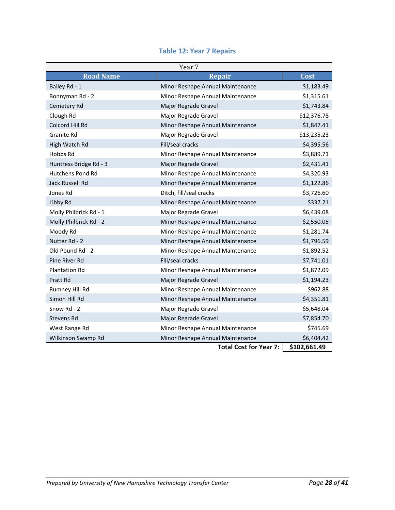| <b>Table 12: Year 7 Repairs</b> |
|---------------------------------|
|---------------------------------|

| Year 7                  |                                  |              |  |  |
|-------------------------|----------------------------------|--------------|--|--|
| <b>Road Name</b>        | <b>Repair</b>                    | Cost         |  |  |
| Bailey Rd - 1           | Minor Reshape Annual Maintenance | \$1,183.49   |  |  |
| Bonnyman Rd - 2         | Minor Reshape Annual Maintenance | \$1,315.61   |  |  |
| Cemetery Rd             | Major Regrade Gravel             | \$1,743.84   |  |  |
| Clough Rd               | Major Regrade Gravel             | \$12,376.78  |  |  |
| Colcord Hill Rd         | Minor Reshape Annual Maintenance | \$1,847.41   |  |  |
| Granite Rd              | Major Regrade Gravel             | \$13,235.23  |  |  |
| High Watch Rd           | Fill/seal cracks                 | \$4,395.56   |  |  |
| Hobbs Rd                | Minor Reshape Annual Maintenance | \$3,889.71   |  |  |
| Huntress Bridge Rd - 3  | Major Regrade Gravel             | \$2,431.41   |  |  |
| <b>Hutchens Pond Rd</b> | Minor Reshape Annual Maintenance | \$4,320.93   |  |  |
| Jack Russell Rd         | Minor Reshape Annual Maintenance | \$1,122.86   |  |  |
| Jones Rd                | Ditch, fill/seal cracks          | \$3,726.60   |  |  |
| Libby Rd                | Minor Reshape Annual Maintenance | \$337.21     |  |  |
| Molly Philbrick Rd - 1  | Major Regrade Gravel             | \$6,439.08   |  |  |
| Molly Philbrick Rd - 2  | Minor Reshape Annual Maintenance | \$2,550.05   |  |  |
| Moody Rd                | Minor Reshape Annual Maintenance | \$1,281.74   |  |  |
| Nutter Rd - 2           | Minor Reshape Annual Maintenance | \$1,796.59   |  |  |
| Old Pound Rd - 2        | Minor Reshape Annual Maintenance | \$1,892.52   |  |  |
| Pine River Rd           | Fill/seal cracks                 | \$7,741.01   |  |  |
| <b>Plantation Rd</b>    | Minor Reshape Annual Maintenance | \$1,872.09   |  |  |
| Pratt Rd                | Major Regrade Gravel             | \$1,194.23   |  |  |
| Rumney Hill Rd          | Minor Reshape Annual Maintenance | \$962.88     |  |  |
| Simon Hill Rd           | Minor Reshape Annual Maintenance | \$4,351.81   |  |  |
| Snow Rd - 2             | Major Regrade Gravel             | \$5,648.04   |  |  |
| Stevens Rd              | Major Regrade Gravel             | \$7,854.70   |  |  |
| West Range Rd           | Minor Reshape Annual Maintenance | \$745.69     |  |  |
| Wilkinson Swamp Rd      | Minor Reshape Annual Maintenance | \$6,404.42   |  |  |
|                         | <b>Total Cost for Year 7:</b>    | \$102,661.49 |  |  |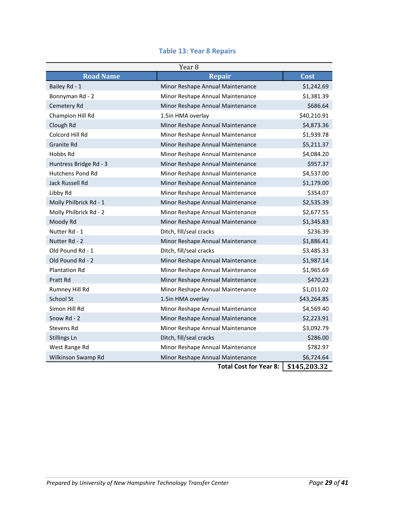|  |  |  |  | <b>Table 13: Year 8 Repairs</b> |
|--|--|--|--|---------------------------------|
|--|--|--|--|---------------------------------|

| Year <sub>8</sub>       |                                  |              |  |  |
|-------------------------|----------------------------------|--------------|--|--|
| <b>Road Name</b>        | <b>Repair</b>                    | Cost         |  |  |
| Bailey Rd - 1           | Minor Reshape Annual Maintenance | \$1,242.69   |  |  |
| Bonnyman Rd - 2         | Minor Reshape Annual Maintenance | \$1,381.39   |  |  |
| Cemetery Rd             | Minor Reshape Annual Maintenance | \$686.64     |  |  |
| Champion Hill Rd        | 1.5in HMA overlay                | \$40,210.91  |  |  |
| Clough Rd               | Minor Reshape Annual Maintenance | \$4,873.36   |  |  |
| Colcord Hill Rd         | Minor Reshape Annual Maintenance | \$1,939.78   |  |  |
| <b>Granite Rd</b>       | Minor Reshape Annual Maintenance | \$5,211.37   |  |  |
| Hobbs Rd                | Minor Reshape Annual Maintenance | \$4,084.20   |  |  |
| Huntress Bridge Rd - 3  | Minor Reshape Annual Maintenance | \$957.37     |  |  |
| <b>Hutchens Pond Rd</b> | Minor Reshape Annual Maintenance | \$4,537.00   |  |  |
| Jack Russell Rd         | Minor Reshape Annual Maintenance | \$1,179.00   |  |  |
| Libby Rd                | Minor Reshape Annual Maintenance | \$354.07     |  |  |
| Molly Philbrick Rd - 1  | Minor Reshape Annual Maintenance | \$2,535.39   |  |  |
| Molly Philbrick Rd - 2  | Minor Reshape Annual Maintenance | \$2,677.55   |  |  |
| Moody Rd                | Minor Reshape Annual Maintenance | \$1,345.83   |  |  |
| Nutter Rd - 1           | Ditch, fill/seal cracks          | \$236.39     |  |  |
| Nutter Rd - 2           | Minor Reshape Annual Maintenance | \$1,886.41   |  |  |
| Old Pound Rd - 1        | Ditch, fill/seal cracks          | \$3,485.33   |  |  |
| Old Pound Rd - 2        | Minor Reshape Annual Maintenance | \$1,987.14   |  |  |
| <b>Plantation Rd</b>    | Minor Reshape Annual Maintenance | \$1,965.69   |  |  |
| Pratt Rd                | Minor Reshape Annual Maintenance | \$470.23     |  |  |
| Rumney Hill Rd          | Minor Reshape Annual Maintenance | \$1,011.02   |  |  |
| <b>School St</b>        | 1.5in HMA overlay                | \$43,264.85  |  |  |
| Simon Hill Rd           | Minor Reshape Annual Maintenance | \$4,569.40   |  |  |
| Snow Rd - 2             | Minor Reshape Annual Maintenance | \$2,223.91   |  |  |
| Stevens Rd              | Minor Reshape Annual Maintenance | \$3,092.79   |  |  |
| <b>Stillings Ln</b>     | Ditch, fill/seal cracks          | \$286.00     |  |  |
| West Range Rd           | Minor Reshape Annual Maintenance | \$782.97     |  |  |
| Wilkinson Swamp Rd      | Minor Reshape Annual Maintenance | \$6,724.64   |  |  |
|                         | <b>Total Cost for Year 8:</b>    | \$145,203.32 |  |  |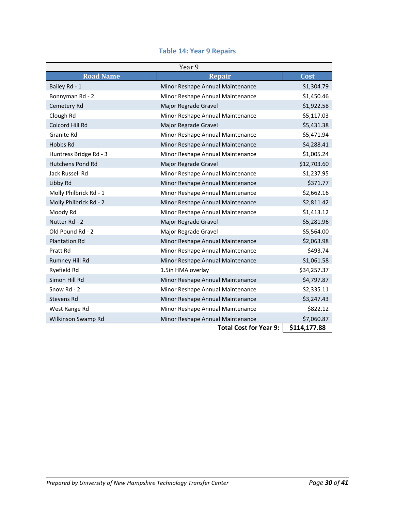|  |  |  | <b>Table 14: Year 9 Repairs</b> |  |
|--|--|--|---------------------------------|--|
|--|--|--|---------------------------------|--|

| Year 9                  |                                  |              |  |  |
|-------------------------|----------------------------------|--------------|--|--|
| <b>Road Name</b>        | <b>Repair</b>                    | Cost         |  |  |
| Bailey Rd - 1           | Minor Reshape Annual Maintenance | \$1,304.79   |  |  |
| Bonnyman Rd - 2         | Minor Reshape Annual Maintenance | \$1,450.46   |  |  |
| Cemetery Rd             | Major Regrade Gravel             | \$1,922.58   |  |  |
| Clough Rd               | Minor Reshape Annual Maintenance | \$5,117.03   |  |  |
| Colcord Hill Rd         | Major Regrade Gravel             | \$5,431.38   |  |  |
| Granite Rd              | Minor Reshape Annual Maintenance | \$5,471.94   |  |  |
| Hobbs Rd                | Minor Reshape Annual Maintenance | \$4,288.41   |  |  |
| Huntress Bridge Rd - 3  | Minor Reshape Annual Maintenance | \$1,005.24   |  |  |
| <b>Hutchens Pond Rd</b> | Major Regrade Gravel             | \$12,703.60  |  |  |
| Jack Russell Rd         | Minor Reshape Annual Maintenance | \$1,237.95   |  |  |
| Libby Rd                | Minor Reshape Annual Maintenance | \$371.77     |  |  |
| Molly Philbrick Rd - 1  | Minor Reshape Annual Maintenance | \$2,662.16   |  |  |
| Molly Philbrick Rd - 2  | Minor Reshape Annual Maintenance | \$2,811.42   |  |  |
| Moody Rd                | Minor Reshape Annual Maintenance | \$1,413.12   |  |  |
| Nutter Rd - 2           | Major Regrade Gravel             | \$5,281.96   |  |  |
| Old Pound Rd - 2        | Major Regrade Gravel             | \$5,564.00   |  |  |
| <b>Plantation Rd</b>    | Minor Reshape Annual Maintenance | \$2,063.98   |  |  |
| Pratt Rd                | Minor Reshape Annual Maintenance | \$493.74     |  |  |
| Rumney Hill Rd          | Minor Reshape Annual Maintenance | \$1,061.58   |  |  |
| Ryefield Rd             | 1.5in HMA overlay                | \$34,257.37  |  |  |
| Simon Hill Rd           | Minor Reshape Annual Maintenance | \$4,797.87   |  |  |
| Snow Rd - 2             | Minor Reshape Annual Maintenance | \$2,335.11   |  |  |
| Stevens Rd              | Minor Reshape Annual Maintenance | \$3,247.43   |  |  |
| West Range Rd           | Minor Reshape Annual Maintenance | \$822.12     |  |  |
| Wilkinson Swamp Rd      | Minor Reshape Annual Maintenance | \$7,060.87   |  |  |
|                         | <b>Total Cost for Year 9:</b>    | \$114,177.88 |  |  |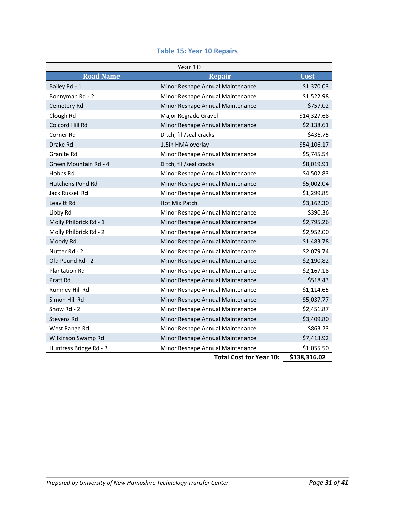| Year 10                 |                                  |              |  |  |
|-------------------------|----------------------------------|--------------|--|--|
| <b>Road Name</b>        | <b>Repair</b>                    | Cost         |  |  |
| Bailey Rd - 1           | Minor Reshape Annual Maintenance | \$1,370.03   |  |  |
| Bonnyman Rd - 2         | Minor Reshape Annual Maintenance | \$1,522.98   |  |  |
| Cemetery Rd             | Minor Reshape Annual Maintenance | \$757.02     |  |  |
| Clough Rd               | Major Regrade Gravel             | \$14,327.68  |  |  |
| Colcord Hill Rd         | Minor Reshape Annual Maintenance | \$2,138.61   |  |  |
| Corner Rd               | Ditch, fill/seal cracks          | \$436.75     |  |  |
| Drake Rd                | 1.5in HMA overlay                | \$54,106.17  |  |  |
| Granite Rd              | Minor Reshape Annual Maintenance | \$5,745.54   |  |  |
| Green Mountain Rd - 4   | Ditch, fill/seal cracks          | \$8,019.91   |  |  |
| Hobbs Rd                | Minor Reshape Annual Maintenance | \$4,502.83   |  |  |
| <b>Hutchens Pond Rd</b> | Minor Reshape Annual Maintenance | \$5,002.04   |  |  |
| Jack Russell Rd         | Minor Reshape Annual Maintenance | \$1,299.85   |  |  |
| Leavitt Rd              | Hot Mix Patch                    | \$3,162.30   |  |  |
| Libby Rd                | Minor Reshape Annual Maintenance | \$390.36     |  |  |
| Molly Philbrick Rd - 1  | Minor Reshape Annual Maintenance | \$2,795.26   |  |  |
| Molly Philbrick Rd - 2  | Minor Reshape Annual Maintenance | \$2,952.00   |  |  |
| Moody Rd                | Minor Reshape Annual Maintenance | \$1,483.78   |  |  |
| Nutter Rd - 2           | Minor Reshape Annual Maintenance | \$2,079.74   |  |  |
| Old Pound Rd - 2        | Minor Reshape Annual Maintenance | \$2,190.82   |  |  |
| <b>Plantation Rd</b>    | Minor Reshape Annual Maintenance | \$2,167.18   |  |  |
| Pratt Rd                | Minor Reshape Annual Maintenance | \$518.43     |  |  |
| Rumney Hill Rd          | Minor Reshape Annual Maintenance | \$1,114.65   |  |  |
| Simon Hill Rd           | Minor Reshape Annual Maintenance | \$5,037.77   |  |  |
| Snow Rd - 2             | Minor Reshape Annual Maintenance | \$2,451.87   |  |  |
| Stevens Rd              | Minor Reshape Annual Maintenance | \$3,409.80   |  |  |
| West Range Rd           | Minor Reshape Annual Maintenance | \$863.23     |  |  |
| Wilkinson Swamp Rd      | Minor Reshape Annual Maintenance | \$7,413.92   |  |  |
| Huntress Bridge Rd - 3  | Minor Reshape Annual Maintenance | \$1,055.50   |  |  |
|                         | <b>Total Cost for Year 10:</b>   | \$138,316.02 |  |  |

#### **Table 15: Year 10 Repairs**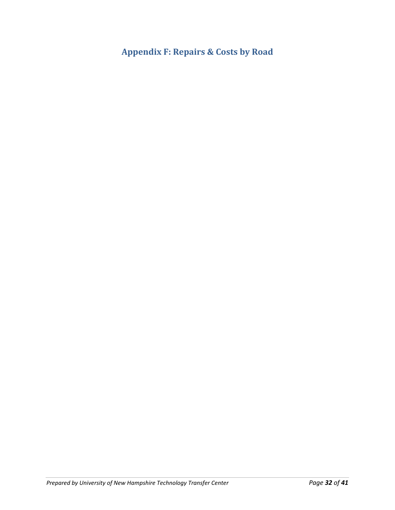**Appendix F: Repairs & Costs by Road**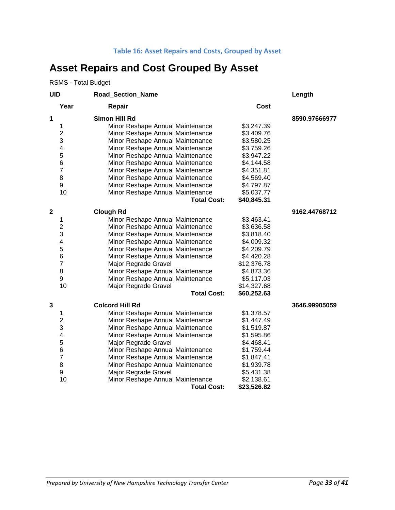#### **Table 16: Asset Repairs and Costs, Grouped by Asset**

## **Asset Repairs and Cost Grouped By Asset**

RSMS - Total Budget

| <b>UID</b>   |                | Road_Section_Name                |             | Length        |
|--------------|----------------|----------------------------------|-------------|---------------|
|              | Year           | Repair                           | Cost        |               |
| 1            |                | <b>Simon Hill Rd</b>             |             | 8590.97666977 |
|              | 1              | Minor Reshape Annual Maintenance | \$3,247.39  |               |
|              | $\overline{c}$ | Minor Reshape Annual Maintenance | \$3,409.76  |               |
|              | 3              | Minor Reshape Annual Maintenance | \$3,580.25  |               |
|              | 4              | Minor Reshape Annual Maintenance | \$3,759.26  |               |
|              | 5              | Minor Reshape Annual Maintenance | \$3,947.22  |               |
|              | 6              | Minor Reshape Annual Maintenance | \$4,144.58  |               |
|              | $\overline{7}$ | Minor Reshape Annual Maintenance | \$4,351.81  |               |
|              | 8              | Minor Reshape Annual Maintenance | \$4,569.40  |               |
|              | 9              | Minor Reshape Annual Maintenance | \$4,797.87  |               |
|              | 10             | Minor Reshape Annual Maintenance | \$5,037.77  |               |
|              |                | <b>Total Cost:</b>               | \$40,845.31 |               |
| $\mathbf{2}$ |                | <b>Clough Rd</b>                 |             | 9162.44768712 |
|              | 1              | Minor Reshape Annual Maintenance | \$3,463.41  |               |
|              | $\overline{2}$ | Minor Reshape Annual Maintenance | \$3,636.58  |               |
|              | 3              | Minor Reshape Annual Maintenance | \$3,818.40  |               |
|              | 4              | Minor Reshape Annual Maintenance | \$4,009.32  |               |
|              | 5              | Minor Reshape Annual Maintenance | \$4,209.79  |               |
|              | 6              | Minor Reshape Annual Maintenance | \$4,420.28  |               |
|              | $\overline{7}$ | Major Regrade Gravel             | \$12,376.78 |               |
|              | 8              | Minor Reshape Annual Maintenance | \$4,873.36  |               |
|              | 9              | Minor Reshape Annual Maintenance | \$5,117.03  |               |
|              | 10             | Major Regrade Gravel             | \$14,327.68 |               |
|              |                | <b>Total Cost:</b>               | \$60,252.63 |               |
| 3            |                | <b>Colcord Hill Rd</b>           |             | 3646.99905059 |
|              | 1              | Minor Reshape Annual Maintenance | \$1,378.57  |               |
|              | $\overline{2}$ | Minor Reshape Annual Maintenance | \$1,447.49  |               |
|              | 3              | Minor Reshape Annual Maintenance | \$1,519.87  |               |
|              | 4              | Minor Reshape Annual Maintenance | \$1,595.86  |               |
|              | 5              | Major Regrade Gravel             | \$4,468.41  |               |
|              | 6              | Minor Reshape Annual Maintenance | \$1,759.44  |               |
|              | $\overline{7}$ | Minor Reshape Annual Maintenance | \$1,847.41  |               |
|              | 8              | Minor Reshape Annual Maintenance | \$1,939.78  |               |
|              | 9              | Major Regrade Gravel             | \$5,431.38  |               |
|              | 10             | Minor Reshape Annual Maintenance | \$2,138.61  |               |
|              |                | <b>Total Cost:</b>               | \$23,526.82 |               |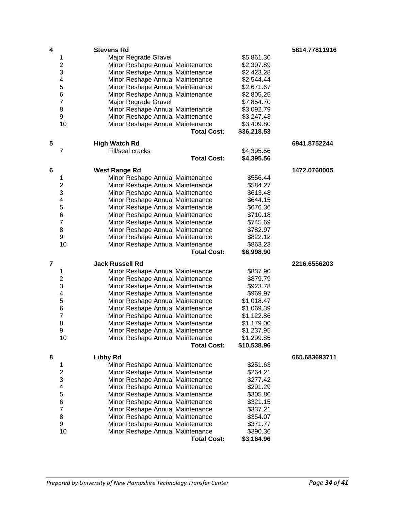| 4              |                         | <b>Stevens Rd</b>                |             | 5814.77811916 |
|----------------|-------------------------|----------------------------------|-------------|---------------|
|                | 1                       | Major Regrade Gravel             | \$5,861.30  |               |
|                | $\overline{2}$          | Minor Reshape Annual Maintenance | \$2,307.89  |               |
|                | 3                       | Minor Reshape Annual Maintenance | \$2,423.28  |               |
|                | 4                       | Minor Reshape Annual Maintenance | \$2,544.44  |               |
|                | 5                       | Minor Reshape Annual Maintenance | \$2,671.67  |               |
|                | 6                       | Minor Reshape Annual Maintenance | \$2,805.25  |               |
|                | $\overline{7}$          | Major Regrade Gravel             | \$7,854.70  |               |
|                | 8                       | Minor Reshape Annual Maintenance | \$3,092.79  |               |
|                | 9                       | Minor Reshape Annual Maintenance | \$3,247.43  |               |
|                | 10                      | Minor Reshape Annual Maintenance | \$3,409.80  |               |
|                |                         | <b>Total Cost:</b>               | \$36,218.53 |               |
| 5              |                         | <b>High Watch Rd</b>             |             | 6941.8752244  |
|                | 7                       | Fill/seal cracks                 | \$4,395.56  |               |
|                |                         | <b>Total Cost:</b>               | \$4,395.56  |               |
|                |                         |                                  |             |               |
| 6              |                         | <b>West Range Rd</b>             |             | 1472.0760005  |
|                | 1                       | Minor Reshape Annual Maintenance | \$556.44    |               |
|                | 2                       | Minor Reshape Annual Maintenance | \$584.27    |               |
|                | 3                       | Minor Reshape Annual Maintenance | \$613.48    |               |
|                | 4                       | Minor Reshape Annual Maintenance | \$644.15    |               |
|                | 5                       | Minor Reshape Annual Maintenance | \$676.36    |               |
|                | 6                       | Minor Reshape Annual Maintenance | \$710.18    |               |
|                | $\overline{7}$          | Minor Reshape Annual Maintenance | \$745.69    |               |
|                | 8                       | Minor Reshape Annual Maintenance | \$782.97    |               |
|                | 9                       | Minor Reshape Annual Maintenance | \$822.12    |               |
|                | 10                      | Minor Reshape Annual Maintenance | \$863.23    |               |
|                |                         | <b>Total Cost:</b>               | \$6,998.90  |               |
| $\overline{7}$ |                         | <b>Jack Russell Rd</b>           |             | 2216.6556203  |
|                | 1                       | Minor Reshape Annual Maintenance | \$837.90    |               |
|                | 2                       | Minor Reshape Annual Maintenance | \$879.79    |               |
|                | 3                       | Minor Reshape Annual Maintenance | \$923.78    |               |
|                | 4                       | Minor Reshape Annual Maintenance | \$969.97    |               |
|                | 5                       | Minor Reshape Annual Maintenance | \$1,018.47  |               |
|                | 6                       | Minor Reshape Annual Maintenance | \$1,069.39  |               |
|                | $\overline{7}$          | Minor Reshape Annual Maintenance | \$1,122.86  |               |
|                | 8                       | Minor Reshape Annual Maintenance | \$1,179.00  |               |
|                | 9                       | Minor Reshape Annual Maintenance | \$1,237.95  |               |
|                | 10                      | Minor Reshape Annual Maintenance | \$1,299.85  |               |
|                |                         | <b>Total Cost:</b>               | \$10,538.96 |               |
| 8              |                         | <b>Libby Rd</b>                  |             | 665.683693711 |
|                | 1                       | Minor Reshape Annual Maintenance | \$251.63    |               |
|                | $\overline{\mathbf{c}}$ | Minor Reshape Annual Maintenance | \$264.21    |               |
|                | 3                       | Minor Reshape Annual Maintenance | \$277.42    |               |
|                | 4                       | Minor Reshape Annual Maintenance | \$291.29    |               |
|                | 5                       | Minor Reshape Annual Maintenance | \$305.86    |               |
|                | $\,6$                   | Minor Reshape Annual Maintenance | \$321.15    |               |
|                | $\overline{7}$          | Minor Reshape Annual Maintenance | \$337.21    |               |
|                | 8                       | Minor Reshape Annual Maintenance | \$354.07    |               |
|                | 9                       | Minor Reshape Annual Maintenance | \$371.77    |               |
|                | 10                      | Minor Reshape Annual Maintenance | \$390.36    |               |
|                |                         | <b>Total Cost:</b>               | \$3,164.96  |               |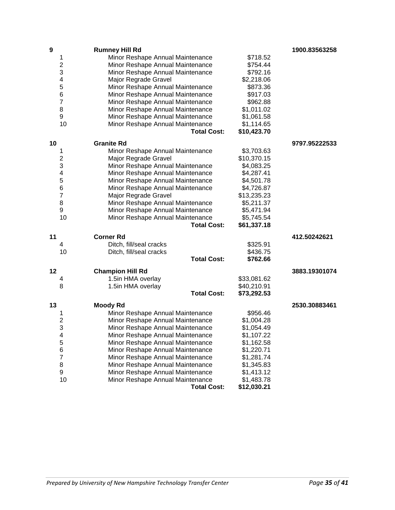| $\boldsymbol{9}$ |                | <b>Rumney Hill Rd</b>            |             | 1900.83563258 |
|------------------|----------------|----------------------------------|-------------|---------------|
|                  | 1              | Minor Reshape Annual Maintenance | \$718.52    |               |
|                  | 2              | Minor Reshape Annual Maintenance | \$754.44    |               |
|                  | 3              | Minor Reshape Annual Maintenance | \$792.16    |               |
|                  | 4              | Major Regrade Gravel             | \$2,218.06  |               |
|                  | 5              | Minor Reshape Annual Maintenance | \$873.36    |               |
|                  | 6              | Minor Reshape Annual Maintenance | \$917.03    |               |
|                  | 7              | Minor Reshape Annual Maintenance | \$962.88    |               |
|                  | 8              | Minor Reshape Annual Maintenance | \$1,011.02  |               |
|                  | 9              | Minor Reshape Annual Maintenance | \$1,061.58  |               |
|                  | 10             | Minor Reshape Annual Maintenance | \$1,114.65  |               |
|                  |                | <b>Total Cost:</b>               | \$10,423.70 |               |
| 10               |                | <b>Granite Rd</b>                |             | 9797.95222533 |
|                  |                |                                  | \$3,703.63  |               |
|                  | 1<br>2         | Minor Reshape Annual Maintenance | \$10,370.15 |               |
|                  | 3              | Major Regrade Gravel             |             |               |
|                  | 4              | Minor Reshape Annual Maintenance | \$4,083.25  |               |
|                  | 5              | Minor Reshape Annual Maintenance | \$4,287.41  |               |
|                  |                | Minor Reshape Annual Maintenance | \$4,501.78  |               |
|                  | 6              | Minor Reshape Annual Maintenance | \$4,726.87  |               |
|                  | $\overline{7}$ | Major Regrade Gravel             | \$13,235.23 |               |
|                  | 8              | Minor Reshape Annual Maintenance | \$5,211.37  |               |
|                  | 9              | Minor Reshape Annual Maintenance | \$5,471.94  |               |
|                  | 10             | Minor Reshape Annual Maintenance | \$5,745.54  |               |
|                  |                | <b>Total Cost:</b>               | \$61,337.18 |               |
| 11               |                | <b>Corner Rd</b>                 |             | 412.50242621  |
|                  | 4              | Ditch, fill/seal cracks          | \$325.91    |               |
|                  | 10             | Ditch, fill/seal cracks          | \$436.75    |               |
|                  |                | <b>Total Cost:</b>               | \$762.66    |               |
| 12               |                | <b>Champion Hill Rd</b>          |             | 3883.19301074 |
|                  | 4              | 1.5in HMA overlay                | \$33,081.62 |               |
|                  | 8              | 1.5in HMA overlay                | \$40,210.91 |               |
|                  |                | <b>Total Cost:</b>               | \$73,292.53 |               |
| 13               |                | <b>Moody Rd</b>                  |             | 2530.30883461 |
|                  | 1              | Minor Reshape Annual Maintenance | \$956.46    |               |
|                  | $\overline{c}$ | Minor Reshape Annual Maintenance | \$1,004.28  |               |
|                  | 3              | Minor Reshape Annual Maintenance | \$1,054.49  |               |
|                  | 4              | Minor Reshape Annual Maintenance | \$1,107.22  |               |
|                  | 5              | Minor Reshape Annual Maintenance | \$1,162.58  |               |
|                  | 6              | Minor Reshape Annual Maintenance | \$1,220.71  |               |
|                  | $\overline{7}$ | Minor Reshape Annual Maintenance | \$1,281.74  |               |
|                  | 8              | Minor Reshape Annual Maintenance | \$1,345.83  |               |
|                  | 9              | Minor Reshape Annual Maintenance | \$1,413.12  |               |
|                  | 10             | Minor Reshape Annual Maintenance | \$1,483.78  |               |
|                  |                | <b>Total Cost:</b>               | \$12,030.21 |               |
|                  |                |                                  |             |               |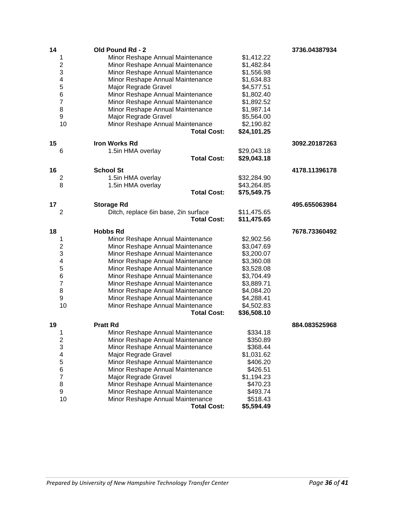| 14 |                | Old Pound Rd - 2                                                     |                      | 3736.04387934 |
|----|----------------|----------------------------------------------------------------------|----------------------|---------------|
|    | 1              | Minor Reshape Annual Maintenance                                     | \$1,412.22           |               |
|    | 2              | Minor Reshape Annual Maintenance                                     | \$1,482.84           |               |
|    | 3              | Minor Reshape Annual Maintenance                                     | \$1,556.98           |               |
|    | 4              | Minor Reshape Annual Maintenance                                     | \$1,634.83           |               |
|    | 5              | Major Regrade Gravel                                                 | \$4,577.51           |               |
|    | 6              | Minor Reshape Annual Maintenance                                     | \$1,802.40           |               |
|    | $\overline{7}$ | Minor Reshape Annual Maintenance                                     | \$1,892.52           |               |
|    | 8              | Minor Reshape Annual Maintenance                                     | \$1,987.14           |               |
|    | 9              | Major Regrade Gravel                                                 | \$5,564.00           |               |
|    | 10             | Minor Reshape Annual Maintenance                                     | \$2,190.82           |               |
|    |                | <b>Total Cost:</b>                                                   | \$24,101.25          |               |
| 15 |                | <b>Iron Works Rd</b>                                                 |                      | 3092.20187263 |
|    | 6              |                                                                      | \$29,043.18          |               |
|    |                | 1.5in HMA overlay<br><b>Total Cost:</b>                              | \$29,043.18          |               |
|    |                |                                                                      |                      |               |
| 16 |                | <b>School St</b>                                                     |                      | 4178.11396178 |
|    | 2              | 1.5in HMA overlay                                                    | \$32,284.90          |               |
|    | 8              | 1.5in HMA overlay                                                    | \$43,264.85          |               |
|    |                | <b>Total Cost:</b>                                                   | \$75,549.75          |               |
| 17 |                | <b>Storage Rd</b>                                                    |                      | 495.655063984 |
|    | 2              | Ditch, replace 6in base, 2in surface                                 | \$11,475.65          |               |
|    |                | <b>Total Cost:</b>                                                   | \$11,475.65          |               |
|    |                |                                                                      |                      |               |
|    |                |                                                                      |                      |               |
| 18 |                | <b>Hobbs Rd</b>                                                      |                      | 7678.73360492 |
|    | 1              | Minor Reshape Annual Maintenance                                     | \$2,902.56           |               |
|    | 2              | Minor Reshape Annual Maintenance                                     | \$3,047.69           |               |
|    | 3              | Minor Reshape Annual Maintenance                                     | \$3,200.07           |               |
|    | 4              | Minor Reshape Annual Maintenance                                     | \$3,360.08           |               |
|    | 5              | Minor Reshape Annual Maintenance                                     | \$3,528.08           |               |
|    | 6              | Minor Reshape Annual Maintenance                                     | \$3,704.49           |               |
|    | 7              | Minor Reshape Annual Maintenance                                     | \$3,889.71           |               |
|    | 8              | Minor Reshape Annual Maintenance                                     | \$4,084.20           |               |
|    | 9              | Minor Reshape Annual Maintenance                                     | \$4,288.41           |               |
|    | 10             | Minor Reshape Annual Maintenance                                     | \$4,502.83           |               |
|    |                | <b>Total Cost:</b>                                                   | \$36,508.10          |               |
| 19 |                | <b>Pratt Rd</b>                                                      |                      | 884.083525968 |
|    | 1              |                                                                      |                      |               |
|    |                | Minor Reshape Annual Maintenance                                     | \$334.18             |               |
|    | 2<br>3         | Minor Reshape Annual Maintenance<br>Minor Reshape Annual Maintenance | \$350.89<br>\$368.44 |               |
|    | 4              |                                                                      |                      |               |
|    |                | Major Regrade Gravel                                                 | \$1,031.62           |               |
|    | 5              | Minor Reshape Annual Maintenance                                     | \$406.20             |               |
|    | 6<br>7         | Minor Reshape Annual Maintenance                                     | \$426.51             |               |
|    |                | Major Regrade Gravel                                                 | \$1,194.23           |               |
|    | 8              | Minor Reshape Annual Maintenance                                     | \$470.23             |               |
|    | 9<br>10        | Minor Reshape Annual Maintenance<br>Minor Reshape Annual Maintenance | \$493.74<br>\$518.43 |               |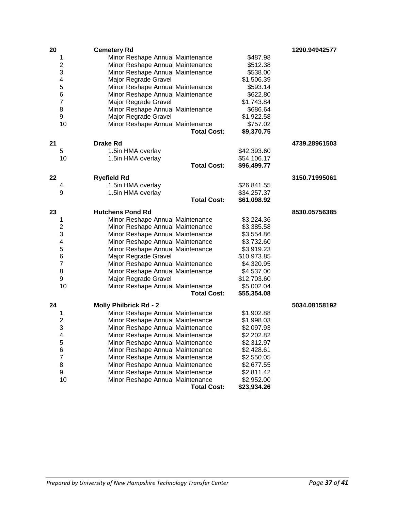| 20 |                              | <b>Cemetery Rd</b>                                                   |                          | 1290.94942577 |
|----|------------------------------|----------------------------------------------------------------------|--------------------------|---------------|
|    | 1                            | Minor Reshape Annual Maintenance                                     | \$487.98                 |               |
|    | $\overline{c}$               | Minor Reshape Annual Maintenance                                     | \$512.38                 |               |
|    | 3                            | Minor Reshape Annual Maintenance                                     | \$538.00                 |               |
|    | 4                            | Major Regrade Gravel                                                 | \$1,506.39               |               |
|    | 5                            | Minor Reshape Annual Maintenance                                     | \$593.14                 |               |
|    | 6                            | Minor Reshape Annual Maintenance                                     | \$622.80                 |               |
|    | $\overline{\mathbf{7}}$      | Major Regrade Gravel                                                 | \$1,743.84               |               |
|    | 8                            | Minor Reshape Annual Maintenance                                     | \$686.64                 |               |
|    | 9                            | Major Regrade Gravel                                                 | \$1,922.58               |               |
|    | 10                           | Minor Reshape Annual Maintenance                                     | \$757.02                 |               |
|    |                              | <b>Total Cost:</b>                                                   | \$9,370.75               |               |
| 21 |                              | <b>Drake Rd</b>                                                      |                          | 4739.28961503 |
|    | 5                            | 1.5in HMA overlay                                                    | \$42,393.60              |               |
|    | 10                           | 1.5in HMA overlay                                                    | \$54,106.17              |               |
|    |                              | <b>Total Cost:</b>                                                   | \$96,499.77              |               |
| 22 |                              | <b>Ryefield Rd</b>                                                   |                          | 3150.71995061 |
|    | 4                            | 1.5in HMA overlay                                                    | \$26,841.55              |               |
|    | 9                            | 1.5in HMA overlay                                                    | \$34,257.37              |               |
|    |                              | <b>Total Cost:</b>                                                   | \$61,098.92              |               |
| 23 |                              | <b>Hutchens Pond Rd</b>                                              |                          | 8530.05756385 |
|    | 1                            | Minor Reshape Annual Maintenance                                     | \$3,224.36               |               |
|    | 2                            | Minor Reshape Annual Maintenance                                     | \$3,385.58               |               |
|    | 3                            | Minor Reshape Annual Maintenance                                     | \$3,554.86               |               |
|    | $\overline{\mathbf{4}}$      | Minor Reshape Annual Maintenance                                     | \$3,732.60               |               |
|    | 5                            | Minor Reshape Annual Maintenance                                     | \$3,919.23               |               |
|    | 6                            | Major Regrade Gravel                                                 | \$10,973.85              |               |
|    | $\overline{7}$               | Minor Reshape Annual Maintenance                                     | \$4,320.95               |               |
|    | 8                            | Minor Reshape Annual Maintenance                                     | \$4,537.00               |               |
|    | 9                            | Major Regrade Gravel                                                 | \$12,703.60              |               |
|    | 10                           | Minor Reshape Annual Maintenance                                     | \$5,002.04               |               |
|    |                              | <b>Total Cost:</b>                                                   | \$55,354.08              |               |
| 24 |                              | <b>Molly Philbrick Rd - 2</b>                                        |                          | 5034.08158192 |
|    |                              | Minor Reshape Annual Maintenance                                     |                          |               |
|    | 1                            |                                                                      | \$1,902.88<br>\$1,998.03 |               |
|    | $\overline{\mathbf{c}}$<br>3 | Minor Reshape Annual Maintenance<br>Minor Reshape Annual Maintenance |                          |               |
|    |                              |                                                                      | \$2,097.93               |               |
|    | 4<br>5                       | Minor Reshape Annual Maintenance                                     | \$2,202.82               |               |
|    |                              | Minor Reshape Annual Maintenance                                     | \$2,312.97               |               |
|    | 6<br>$\overline{7}$          | Minor Reshape Annual Maintenance                                     | \$2,428.61<br>\$2,550.05 |               |
|    |                              | Minor Reshape Annual Maintenance                                     |                          |               |
|    | 8                            | Minor Reshape Annual Maintenance                                     | \$2,677.55               |               |
|    | 9                            | Minor Reshape Annual Maintenance                                     | \$2,811.42               |               |
|    | 10                           | Minor Reshape Annual Maintenance                                     | \$2,952.00               |               |
|    |                              | <b>Total Cost:</b>                                                   | \$23,934.26              |               |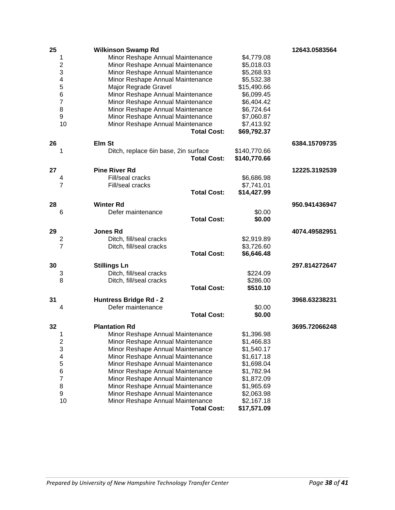| 25 |                         | <b>Wilkinson Swamp Rd</b>            |                    |              | 12643.0583564 |
|----|-------------------------|--------------------------------------|--------------------|--------------|---------------|
|    | 1                       | Minor Reshape Annual Maintenance     |                    | \$4,779.08   |               |
|    | 2                       | Minor Reshape Annual Maintenance     |                    | \$5,018.03   |               |
|    | 3                       | Minor Reshape Annual Maintenance     |                    | \$5,268.93   |               |
|    | $\overline{\mathbf{4}}$ | Minor Reshape Annual Maintenance     |                    | \$5,532.38   |               |
|    | 5                       | Major Regrade Gravel                 |                    | \$15,490.66  |               |
|    | 6                       | Minor Reshape Annual Maintenance     |                    | \$6,099.45   |               |
|    | $\overline{7}$          | Minor Reshape Annual Maintenance     |                    | \$6,404.42   |               |
|    | 8                       | Minor Reshape Annual Maintenance     |                    | \$6,724.64   |               |
|    | 9                       | Minor Reshape Annual Maintenance     |                    | \$7,060.87   |               |
|    | 10                      | Minor Reshape Annual Maintenance     |                    | \$7,413.92   |               |
|    |                         |                                      | <b>Total Cost:</b> | \$69,792.37  |               |
| 26 |                         | Elm St                               |                    |              | 6384.15709735 |
|    | 1                       | Ditch, replace 6in base, 2in surface |                    | \$140,770.66 |               |
|    |                         |                                      | <b>Total Cost:</b> | \$140,770.66 |               |
|    |                         |                                      |                    |              |               |
| 27 |                         | <b>Pine River Rd</b>                 |                    |              | 12225.3192539 |
|    | 4                       | Fill/seal cracks                     |                    | \$6,686.98   |               |
|    | 7                       | Fill/seal cracks                     |                    | \$7,741.01   |               |
|    |                         |                                      | <b>Total Cost:</b> | \$14,427.99  |               |
| 28 |                         | <b>Winter Rd</b>                     |                    |              | 950.941436947 |
|    | 6                       | Defer maintenance                    |                    | \$0.00       |               |
|    |                         |                                      | <b>Total Cost:</b> | \$0.00       |               |
| 29 |                         | <b>Jones Rd</b>                      |                    |              | 4074.49582951 |
|    | 2                       | Ditch, fill/seal cracks              |                    | \$2,919.89   |               |
|    | 7                       | Ditch, fill/seal cracks              |                    | \$3,726.60   |               |
|    |                         |                                      | <b>Total Cost:</b> | \$6,646.48   |               |
|    |                         |                                      |                    |              |               |
| 30 |                         | <b>Stillings Ln</b>                  |                    |              | 297.814272647 |
|    | 3                       | Ditch, fill/seal cracks              |                    | \$224.09     |               |
|    | 8                       | Ditch, fill/seal cracks              |                    | \$286.00     |               |
|    |                         |                                      | <b>Total Cost:</b> | \$510.10     |               |
| 31 |                         | <b>Huntress Bridge Rd - 2</b>        |                    |              | 3968.63238231 |
|    | 4                       | Defer maintenance                    |                    | \$0.00       |               |
|    |                         |                                      | <b>Total Cost:</b> | \$0.00       |               |
| 32 |                         | <b>Plantation Rd</b>                 |                    |              | 3695.72066248 |
|    | Τ                       | Minor Reshape Annual Maintenance     |                    | \$1,396.98   |               |
|    | $\overline{\mathbf{c}}$ | Minor Reshape Annual Maintenance     |                    | \$1,466.83   |               |
|    | 3                       | Minor Reshape Annual Maintenance     |                    | \$1,540.17   |               |
|    | 4                       | Minor Reshape Annual Maintenance     |                    | \$1,617.18   |               |
|    | 5                       | Minor Reshape Annual Maintenance     |                    | \$1,698.04   |               |
|    | 6                       | Minor Reshape Annual Maintenance     |                    | \$1,782.94   |               |
|    | $\overline{7}$          | Minor Reshape Annual Maintenance     |                    | \$1,872.09   |               |
|    | 8                       | Minor Reshape Annual Maintenance     |                    | \$1,965.69   |               |
|    | 9                       | Minor Reshape Annual Maintenance     |                    | \$2,063.98   |               |
|    | 10                      | Minor Reshape Annual Maintenance     |                    | \$2,167.18   |               |
|    |                         |                                      | <b>Total Cost:</b> | \$17,571.09  |               |
|    |                         |                                      |                    |              |               |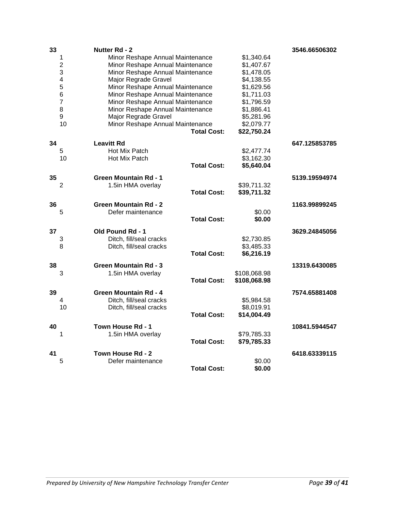| 33 |                | <b>Nutter Rd - 2</b>             |                    |              | 3546.66506302 |
|----|----------------|----------------------------------|--------------------|--------------|---------------|
|    | 1              | Minor Reshape Annual Maintenance |                    | \$1,340.64   |               |
|    | $\overline{2}$ | Minor Reshape Annual Maintenance |                    | \$1,407.67   |               |
|    | 3              | Minor Reshape Annual Maintenance |                    | \$1,478.05   |               |
|    | 4              | Major Regrade Gravel             |                    | \$4,138.55   |               |
|    | 5              | Minor Reshape Annual Maintenance |                    | \$1,629.56   |               |
|    | 6              | Minor Reshape Annual Maintenance |                    | \$1,711.03   |               |
|    | $\overline{7}$ | Minor Reshape Annual Maintenance |                    | \$1,796.59   |               |
|    | 8              | Minor Reshape Annual Maintenance |                    | \$1,886.41   |               |
|    | 9              | Major Regrade Gravel             |                    | \$5,281.96   |               |
|    | 10             | Minor Reshape Annual Maintenance |                    | \$2,079.77   |               |
|    |                |                                  | <b>Total Cost:</b> | \$22,750.24  |               |
| 34 |                | <b>Leavitt Rd</b>                |                    |              | 647.125853785 |
|    | 5              | Hot Mix Patch                    |                    | \$2,477.74   |               |
|    | 10             | Hot Mix Patch                    |                    | \$3,162.30   |               |
|    |                |                                  | <b>Total Cost:</b> | \$5,640.04   |               |
| 35 |                | <b>Green Mountain Rd - 1</b>     |                    |              | 5139.19594974 |
|    | 2              | 1.5in HMA overlay                |                    | \$39,711.32  |               |
|    |                |                                  | <b>Total Cost:</b> | \$39,711.32  |               |
| 36 |                | <b>Green Mountain Rd - 2</b>     |                    |              | 1163.99899245 |
|    | 5              | Defer maintenance                |                    | \$0.00       |               |
|    |                |                                  | <b>Total Cost:</b> | \$0.00       |               |
| 37 |                | Old Pound Rd - 1                 |                    |              | 3629.24845056 |
|    | 3              | Ditch, fill/seal cracks          |                    | \$2,730.85   |               |
|    | 8              | Ditch, fill/seal cracks          |                    | \$3,485.33   |               |
|    |                |                                  | <b>Total Cost:</b> | \$6,216.19   |               |
| 38 |                | <b>Green Mountain Rd - 3</b>     |                    |              | 13319.6430085 |
|    | 3              | 1.5in HMA overlay                |                    | \$108,068.98 |               |
|    |                |                                  | <b>Total Cost:</b> | \$108,068.98 |               |
| 39 |                | <b>Green Mountain Rd - 4</b>     |                    |              | 7574.65881408 |
|    | 4              | Ditch, fill/seal cracks          |                    | \$5,984.58   |               |
|    | 10             | Ditch, fill/seal cracks          |                    | \$8,019.91   |               |
|    |                |                                  | <b>Total Cost:</b> | \$14,004.49  |               |
| 40 |                | Town House Rd - 1                |                    |              | 10841.5944547 |
|    | 1              | 1.5in HMA overlay                |                    | \$79,785.33  |               |
|    |                |                                  | <b>Total Cost:</b> | \$79,785.33  |               |
| 41 |                | Town House Rd - 2                |                    |              | 6418.63339115 |
|    | 5              | Defer maintenance                |                    | \$0.00       |               |
|    |                |                                  | <b>Total Cost:</b> | \$0.00       |               |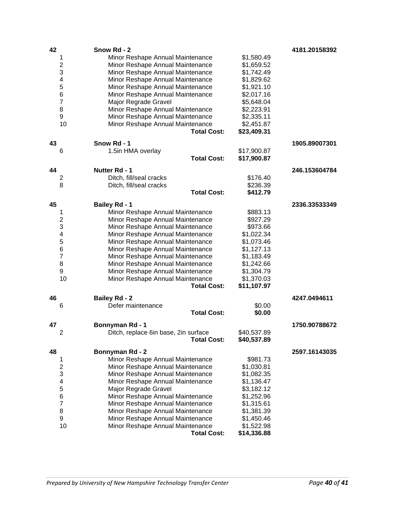| 42 |                          | Snow Rd - 2                                        |             | 4181.20158392 |
|----|--------------------------|----------------------------------------------------|-------------|---------------|
|    | 1                        | Minor Reshape Annual Maintenance                   | \$1,580.49  |               |
|    | $\overline{c}$           | Minor Reshape Annual Maintenance                   | \$1,659.52  |               |
|    | 3                        | Minor Reshape Annual Maintenance                   | \$1,742.49  |               |
|    | $\overline{\mathbf{4}}$  | Minor Reshape Annual Maintenance                   | \$1,829.62  |               |
|    | 5                        | Minor Reshape Annual Maintenance                   | \$1,921.10  |               |
|    | 6                        | Minor Reshape Annual Maintenance                   | \$2,017.16  |               |
|    | $\overline{\mathbf{7}}$  | Major Regrade Gravel                               | \$5,648.04  |               |
|    | 8                        | Minor Reshape Annual Maintenance                   | \$2,223.91  |               |
|    | 9                        | Minor Reshape Annual Maintenance                   | \$2,335.11  |               |
|    | 10                       | Minor Reshape Annual Maintenance                   | \$2,451.87  |               |
|    |                          | <b>Total Cost:</b>                                 | \$23,409.31 |               |
| 43 |                          | Snow Rd - 1                                        |             | 1905.89007301 |
|    | 6                        | 1.5in HMA overlay                                  | \$17,900.87 |               |
|    |                          | <b>Total Cost:</b>                                 | \$17,900.87 |               |
|    |                          |                                                    |             |               |
| 44 |                          | <b>Nutter Rd - 1</b>                               | \$176.40    | 246.153604784 |
|    | 2<br>8                   | Ditch, fill/seal cracks<br>Ditch, fill/seal cracks | \$236.39    |               |
|    |                          | <b>Total Cost:</b>                                 | \$412.79    |               |
|    |                          |                                                    |             |               |
| 45 |                          | <b>Bailey Rd - 1</b>                               |             | 2336.33533349 |
|    | 1                        | Minor Reshape Annual Maintenance                   | \$883.13    |               |
|    | 2                        | Minor Reshape Annual Maintenance                   | \$927.29    |               |
|    | 3                        | Minor Reshape Annual Maintenance                   | \$973.66    |               |
|    | 4                        | Minor Reshape Annual Maintenance                   | \$1,022.34  |               |
|    | 5                        | Minor Reshape Annual Maintenance                   | \$1,073.46  |               |
|    | 6                        | Minor Reshape Annual Maintenance                   | \$1,127.13  |               |
|    | $\overline{\mathbf{7}}$  | Minor Reshape Annual Maintenance                   | \$1,183.49  |               |
|    | 8                        | Minor Reshape Annual Maintenance                   | \$1,242.66  |               |
|    | 9                        | Minor Reshape Annual Maintenance                   | \$1,304.79  |               |
|    | 10                       | Minor Reshape Annual Maintenance                   | \$1,370.03  |               |
|    |                          | <b>Total Cost:</b>                                 | \$11,107.97 |               |
| 46 |                          | <b>Bailey Rd - 2</b>                               |             | 4247.0494611  |
|    | 6                        | Defer maintenance                                  | \$0.00      |               |
|    |                          | <b>Total Cost:</b>                                 | \$0.00      |               |
| 47 |                          | Bonnyman Rd - 1                                    |             | 1750.90788672 |
|    | 2                        | Ditch, replace 6in base, 2in surface               | \$40,537.89 |               |
|    |                          | <b>Total Cost:</b>                                 | \$40,537.89 |               |
| 48 |                          | Bonnyman Rd - 2                                    |             | 2597.16143035 |
|    | 1                        | Minor Reshape Annual Maintenance                   | \$981.73    |               |
|    | 2                        | Minor Reshape Annual Maintenance                   | \$1,030.81  |               |
|    | 3                        | Minor Reshape Annual Maintenance                   | \$1,082.35  |               |
|    | $\overline{\mathcal{A}}$ | Minor Reshape Annual Maintenance                   | \$1,136.47  |               |
|    | 5                        | Major Regrade Gravel                               | \$3,182.12  |               |
|    | 6                        | Minor Reshape Annual Maintenance                   | \$1,252.96  |               |
|    | $\overline{7}$           | Minor Reshape Annual Maintenance                   | \$1,315.61  |               |
|    | 8                        | Minor Reshape Annual Maintenance                   | \$1,381.39  |               |
|    | 9                        | Minor Reshape Annual Maintenance                   | \$1,450.46  |               |
|    | 10                       | Minor Reshape Annual Maintenance                   | \$1,522.98  |               |
|    |                          | <b>Total Cost:</b>                                 | \$14,336.88 |               |